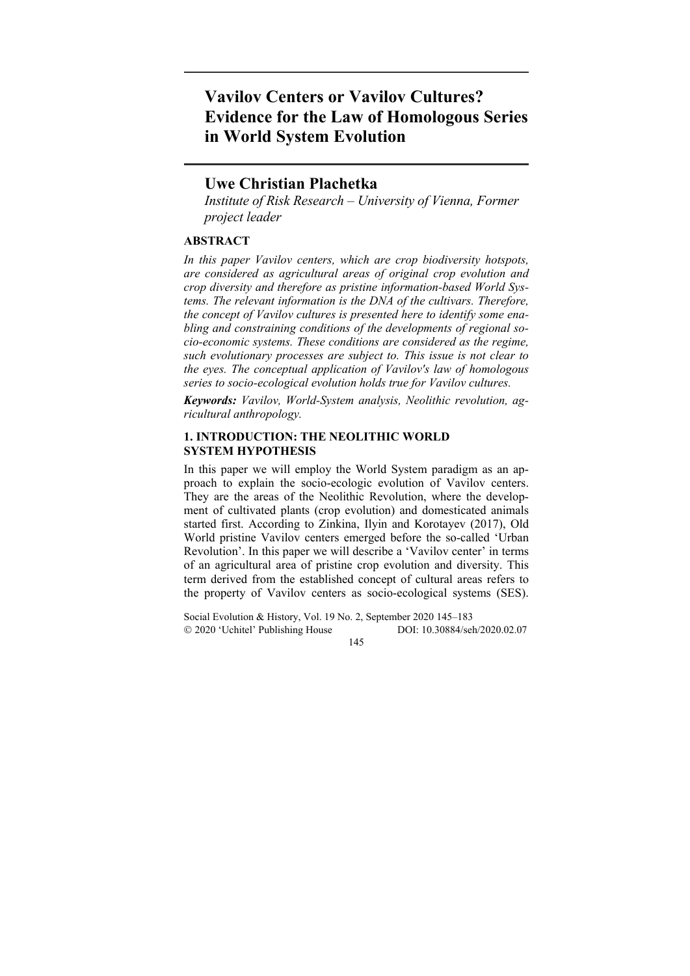# **Vavilov Centers or Vavilov Cultures? Evidence for the Law of Homologous Series in World System Evolution**

# **Uwe Christian Plachetka**

*Institute of Risk Research – University of Vienna, Former project leader* 

# **ABSTRACT**

*In this paper Vavilov centers, which are crop biodiversity hotspots, are considered as agricultural areas of original crop evolution and crop diversity and therefore as pristine information-based World Systems. The relevant information is the DNA of the cultivars. Therefore, the concept of Vavilov cultures is presented here to identify some enabling and constraining conditions of the developments of regional socio-economic systems. These conditions are considered as the regime, such evolutionary processes are subject to. This issue is not clear to the eyes. The conceptual application of Vavilov's law of homologous series to socio-ecological evolution holds true for Vavilov cultures.* 

*Keywords: Vavilov, World-System analysis, Neolithic revolution, agricultural anthropology.* 

# **1. INTRODUCTION: THE NEOLITHIC WORLD SYSTEM HYPOTHESIS**

In this paper we will employ the World System paradigm as an approach to explain the socio-ecologic evolution of Vavilov centers. They are the areas of the Neolithic Revolution, where the development of cultivated plants (crop evolution) and domesticated animals started first. According to Zinkina, Ilyin and Korotayev (2017), Old World pristine Vavilov centers emerged before the so-called 'Urban Revolution'. In this paper we will describe a 'Vavilov center' in terms of an agricultural area of pristine crop evolution and diversity. This term derived from the established concept of cultural areas refers to the property of Vavilov centers as socio-ecological systems (SES).

Social Evolution & History, Vol. 19 No. 2, September 2020 145–183 2020 'Uchitel' Publishing House DOI: 10.30884/seh/2020.02.07 145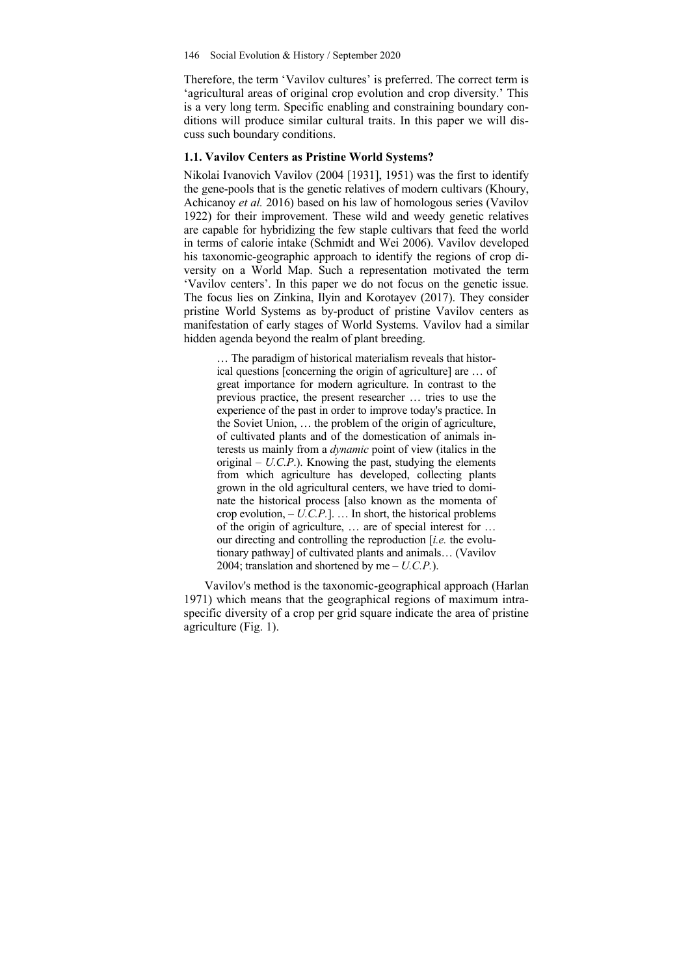Therefore, the term 'Vavilov cultures' is preferred. The correct term is 'agricultural areas of original crop evolution and crop diversity.' This is a very long term. Specific enabling and constraining boundary conditions will produce similar cultural traits. In this paper we will discuss such boundary conditions.

#### **1.1. Vavilov Centers as Pristine World Systems?**

Nikolai Ivanovich Vavilov (2004 [1931], 1951) was the first to identify the gene-pools that is the genetic relatives of modern cultivars (Khoury, Achicanoy *et al.* 2016) based on his law of homologous series (Vavilov 1922) for their improvement. These wild and weedy genetic relatives are capable for hybridizing the few staple cultivars that feed the world in terms of calorie intake (Schmidt and Wei 2006). Vavilov developed his taxonomic-geographic approach to identify the regions of crop diversity on a World Map. Such a representation motivated the term 'Vavilov centers'. In this paper we do not focus on the genetic issue. The focus lies on Zinkina, Ilyin and Korotayev (2017). They consider pristine World Systems as by-product of pristine Vavilov centers as manifestation of early stages of World Systems. Vavilov had a similar hidden agenda beyond the realm of plant breeding.

… The paradigm of historical materialism reveals that historical questions [concerning the origin of agriculture] are … of great importance for modern agriculture. In contrast to the previous practice, the present researcher … tries to use the experience of the past in order to improve today's practice. In the Soviet Union, … the problem of the origin of agriculture, of cultivated plants and of the domestication of animals interests us mainly from a *dynamic* point of view (italics in the original – *U.C.P*.). Knowing the past, studying the elements from which agriculture has developed, collecting plants grown in the old agricultural centers, we have tried to dominate the historical process [also known as the momenta of crop evolution, – *U.C.P.*]. … In short, the historical problems of the origin of agriculture, … are of special interest for … our directing and controlling the reproduction [*i.e.* the evolutionary pathway] of cultivated plants and animals… (Vavilov 2004; translation and shortened by me – *U.C.P.*).

Vavilov's method is the taxonomic-geographical approach (Harlan 1971) which means that the geographical regions of maximum intraspecific diversity of a crop per grid square indicate the area of pristine agriculture (Fig. 1).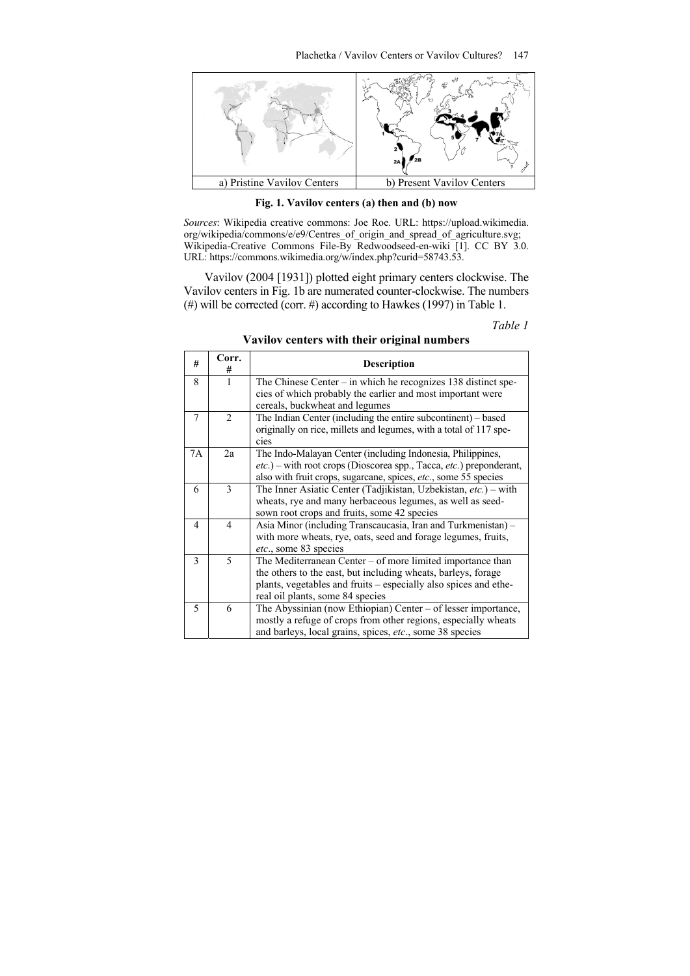

**Fig. 1. Vavilov centers (a) then and (b) now** 

*Sources*: Wikipedia creative commons: Joe Roe. URL: https://upload.wikimedia. org/wikipedia/commons/e/e9/Centres\_of\_origin\_and\_spread\_of\_agriculture.svg; Wikipedia-Creative Commons File-By Redwoodseed-en-wiki [1]. CC BY 3.0. URL: https://commons.wikimedia.org/w/index.php?curid=58743.53.

Vavilov (2004 [1931]) plotted eight primary centers clockwise. The Vavilov centers in Fig. 1b are numerated counter-clockwise. The numbers (#) will be corrected (corr. #) according to Hawkes (1997) in Table 1.

*Table 1* 

| #  | Corr.<br>#     | <b>Description</b>                                                                                                                                                                                                                  |
|----|----------------|-------------------------------------------------------------------------------------------------------------------------------------------------------------------------------------------------------------------------------------|
| 8  | 1              | The Chinese Center $-$ in which he recognizes 138 distinct spe-<br>cies of which probably the earlier and most important were<br>cereals, buckwheat and legumes                                                                     |
| 7  | $\overline{2}$ | The Indian Center (including the entire subcontinent) – based<br>originally on rice, millets and legumes, with a total of 117 spe-<br>cies                                                                                          |
| 7A | 2a             | The Indo-Malayan Center (including Indonesia, Philippines,<br><i>etc.</i> ) – with root crops (Dioscorea spp., Tacca, <i>etc.</i> ) preponderant,<br>also with fruit crops, sugarcane, spices, etc., some 55 species                |
| 6  | 3              | The Inner Asiatic Center (Tadjikistan, Uzbekistan, etc.) – with<br>wheats, rye and many herbaceous legumes, as well as seed-<br>sown root crops and fruits, some 42 species                                                         |
| 4  | 4              | Asia Minor (including Transcaucasia, Iran and Turkmenistan) –<br>with more wheats, rye, oats, seed and forage legumes, fruits,<br><i>etc.</i> , some 83 species                                                                     |
| 3  | 5              | The Mediterranean Center – of more limited importance than<br>the others to the east, but including wheats, barleys, forage<br>plants, vegetables and fruits – especially also spices and ethe-<br>real oil plants, some 84 species |
| 5  | 6              | The Abyssinian (now Ethiopian) Center – of lesser importance,<br>mostly a refuge of crops from other regions, especially wheats<br>and barleys, local grains, spices, etc., some 38 species                                         |

**Vavilov centers with their original numbers**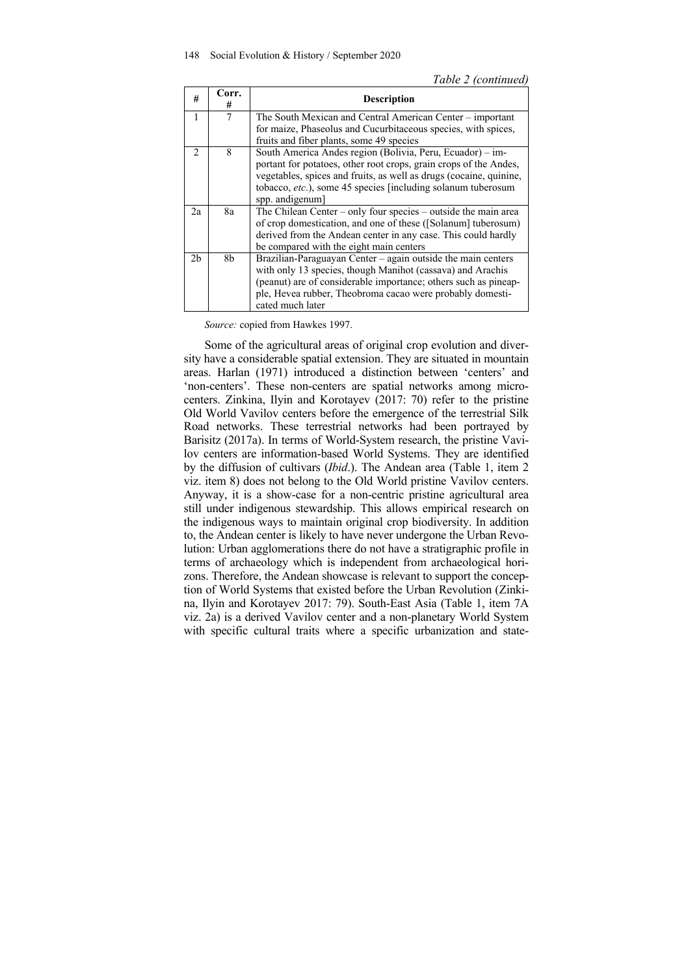| #              | Corr.<br># | <b>Description</b>                                                 |  |  |  |  |  |
|----------------|------------|--------------------------------------------------------------------|--|--|--|--|--|
| 1              | 7          | The South Mexican and Central American Center – important          |  |  |  |  |  |
|                |            | for maize, Phaseolus and Cucurbitaceous species, with spices,      |  |  |  |  |  |
|                |            | fruits and fiber plants, some 49 species                           |  |  |  |  |  |
| $\mathcal{D}$  | 8          | South America Andes region (Bolivia, Peru, Ecuador) – im-          |  |  |  |  |  |
|                |            | portant for potatoes, other root crops, grain crops of the Andes,  |  |  |  |  |  |
|                |            | vegetables, spices and fruits, as well as drugs (cocaine, quinine, |  |  |  |  |  |
|                |            | tobacco, etc.), some 45 species [including solanum tuberosum       |  |  |  |  |  |
|                |            | spp. andigenum                                                     |  |  |  |  |  |
| 2a             | 8a         | The Chilean Center – only four species – outside the main area     |  |  |  |  |  |
|                |            | of crop domestication, and one of these ([Solanum] tuberosum)      |  |  |  |  |  |
|                |            | derived from the Andean center in any case. This could hardly      |  |  |  |  |  |
|                |            | be compared with the eight main centers                            |  |  |  |  |  |
| 2 <sub>b</sub> | 8b         | Brazilian-Paraguayan Center - again outside the main centers       |  |  |  |  |  |
|                |            | with only 13 species, though Manihot (cassava) and Arachis         |  |  |  |  |  |
|                |            | (peanut) are of considerable importance; others such as pineap-    |  |  |  |  |  |
|                |            | ple, Hevea rubber, Theobroma cacao were probably domesti-          |  |  |  |  |  |
|                |            | cated much later                                                   |  |  |  |  |  |

*Source:* copied from Hawkes 1997.

Some of the agricultural areas of original crop evolution and diversity have a considerable spatial extension. They are situated in mountain areas. Harlan (1971) introduced a distinction between 'centers' and 'non-centers'. These non-centers are spatial networks among microcenters. Zinkina, Ilyin and Korotayev (2017: 70) refer to the pristine Old World Vavilov centers before the emergence of the terrestrial Silk Road networks. These terrestrial networks had been portrayed by Barisitz (2017a). In terms of World-System research, the pristine Vavilov centers are information-based World Systems. They are identified by the diffusion of cultivars (*Ibid*.). The Andean area (Table 1, item 2 viz. item 8) does not belong to the Old World pristine Vavilov centers. Anyway, it is a show-case for a non-centric pristine agricultural area still under indigenous stewardship. This allows empirical research on the indigenous ways to maintain original crop biodiversity. In addition to, the Andean center is likely to have never undergone the Urban Revolution: Urban agglomerations there do not have a stratigraphic profile in terms of archaeology which is independent from archaeological horizons. Therefore, the Andean showcase is relevant to support the conception of World Systems that existed before the Urban Revolution (Zinkina, Ilyin and Korotayev 2017: 79). South-East Asia (Table 1, item 7A viz. 2a) is a derived Vavilov center and a non-planetary World System with specific cultural traits where a specific urbanization and state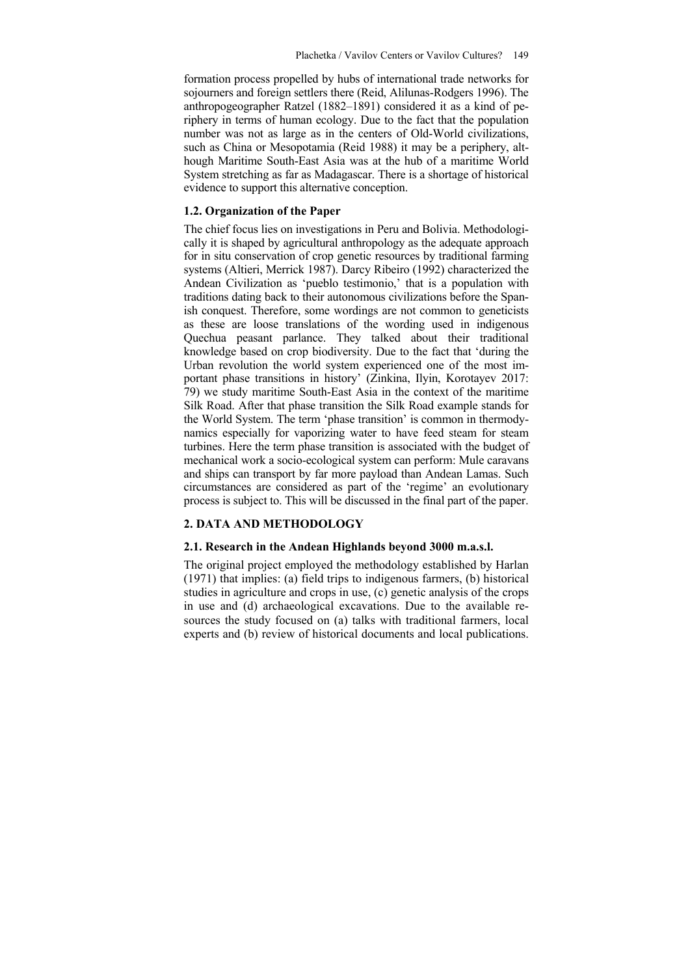formation process propelled by hubs of international trade networks for sojourners and foreign settlers there (Reid, Alilunas-Rodgers 1996). The anthropogeographer Ratzel (1882–1891) considered it as a kind of periphery in terms of human ecology. Due to the fact that the population number was not as large as in the centers of Old-World civilizations, such as China or Mesopotamia (Reid 1988) it may be a periphery, although Maritime South-East Asia was at the hub of a maritime World System stretching as far as Madagascar. There is a shortage of historical evidence to support this alternative conception.

#### **1.2. Organization of the Paper**

The chief focus lies on investigations in Peru and Bolivia. Methodologically it is shaped by agricultural anthropology as the adequate approach for in situ conservation of crop genetic resources by traditional farming systems (Altieri, Merrick 1987). Darcy Ribeiro (1992) characterized the Andean Civilization as 'pueblo testimonio,' that is a population with traditions dating back to their autonomous civilizations before the Spanish conquest. Therefore, some wordings are not common to geneticists as these are loose translations of the wording used in indigenous Quechua peasant parlance. They talked about their traditional knowledge based on crop biodiversity. Due to the fact that 'during the Urban revolution the world system experienced one of the most important phase transitions in history' (Zinkina, Ilyin, Korotayev 2017: 79) we study maritime South-East Asia in the context of the maritime Silk Road. After that phase transition the Silk Road example stands for the World System. The term 'phase transition' is common in thermodynamics especially for vaporizing water to have feed steam for steam turbines. Here the term phase transition is associated with the budget of mechanical work a socio-ecological system can perform: Mule caravans and ships can transport by far more payload than Andean Lamas. Such circumstances are considered as part of the 'regime' an evolutionary process is subject to. This will be discussed in the final part of the paper.

#### **2. DATA AND METHODOLOGY**

## **2.1. Research in the Andean Highlands beyond 3000 m.a.s.l.**

The original project employed the methodology established by Harlan (1971) that implies: (a) field trips to indigenous farmers, (b) historical studies in agriculture and crops in use, (c) genetic analysis of the crops in use and (d) archaeological excavations. Due to the available resources the study focused on (a) talks with traditional farmers, local experts and (b) review of historical documents and local publications.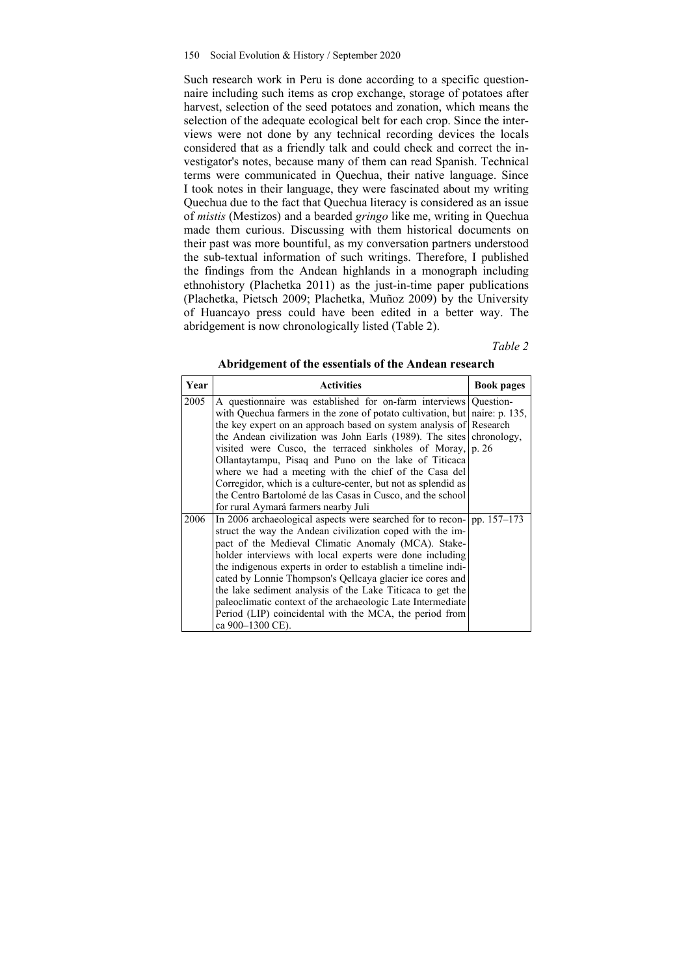Such research work in Peru is done according to a specific questionnaire including such items as crop exchange, storage of potatoes after harvest, selection of the seed potatoes and zonation, which means the selection of the adequate ecological belt for each crop. Since the interviews were not done by any technical recording devices the locals considered that as a friendly talk and could check and correct the investigator's notes, because many of them can read Spanish. Technical terms were communicated in Quechua, their native language. Since I took notes in their language, they were fascinated about my writing Quechua due to the fact that Quechua literacy is considered as an issue of *mistis* (Mestizos) and a bearded *gringo* like me, writing in Quechua made them curious. Discussing with them historical documents on their past was more bountiful, as my conversation partners understood the sub-textual information of such writings. Therefore, I published the findings from the Andean highlands in a monograph including ethnohistory (Plachetka 2011) as the just-in-time paper publications (Plachetka, Pietsch 2009; Plachetka, Muñoz 2009) by the University of Huancayo press could have been edited in a better way. The abridgement is now chronologically listed (Table 2).

*Table 2* 

| Year | <b>Activities</b>                                                          | <b>Book pages</b> |  |  |
|------|----------------------------------------------------------------------------|-------------------|--|--|
| 2005 | A questionnaire was established for on-farm interviews Question-           |                   |  |  |
|      | with Quechua farmers in the zone of potato cultivation, but naire: p. 135, |                   |  |  |
|      | the key expert on an approach based on system analysis of Research         |                   |  |  |
|      | the Andean civilization was John Earls (1989). The sites chronology,       |                   |  |  |
|      | visited were Cusco, the terraced sinkholes of Moray, $ p $ . 26            |                   |  |  |
|      | Ollantaytampu, Pisaq and Puno on the lake of Titicaca                      |                   |  |  |
|      | where we had a meeting with the chief of the Casa del                      |                   |  |  |
|      | Corregidor, which is a culture-center, but not as splendid as              |                   |  |  |
|      | the Centro Bartolomé de las Casas in Cusco, and the school                 |                   |  |  |
|      | for rural Aymará farmers nearby Juli                                       |                   |  |  |
| 2006 | In 2006 archaeological aspects were searched for to recon- $ pp. 157-173$  |                   |  |  |
|      | struct the way the Andean civilization coped with the im-                  |                   |  |  |
|      | pact of the Medieval Climatic Anomaly (MCA). Stake-                        |                   |  |  |
|      | holder interviews with local experts were done including                   |                   |  |  |
|      | the indigenous experts in order to establish a timeline indi-              |                   |  |  |
|      | cated by Lonnie Thompson's Qellcaya glacier ice cores and                  |                   |  |  |
|      | the lake sediment analysis of the Lake Titicaca to get the                 |                   |  |  |
|      | paleoclimatic context of the archaeologic Late Intermediate                |                   |  |  |
|      | Period (LIP) coincidental with the MCA, the period from                    |                   |  |  |
|      | ca 900-1300 CE).                                                           |                   |  |  |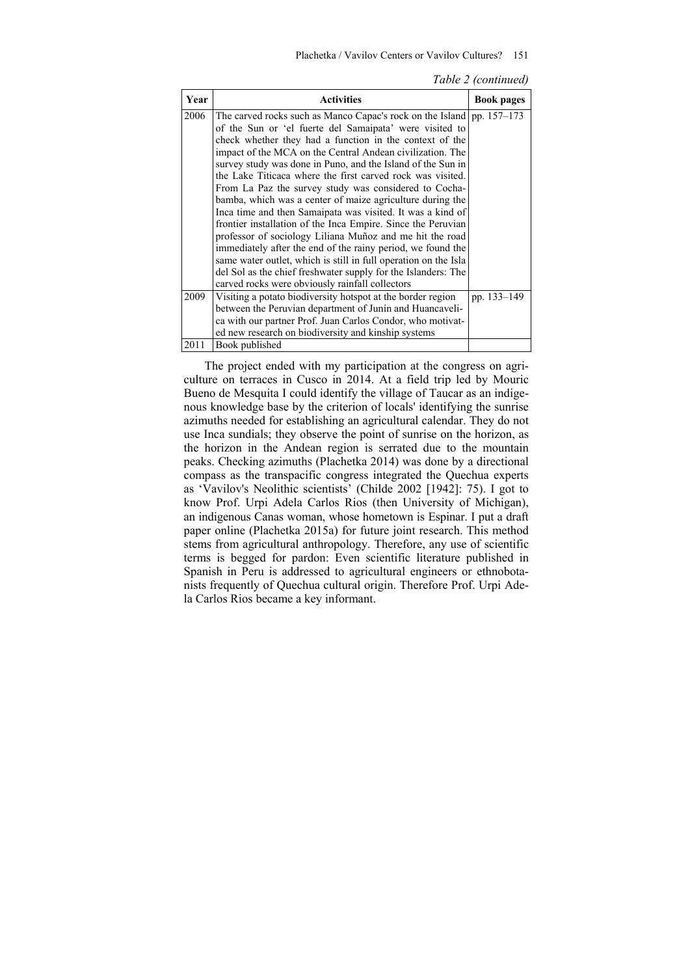#### Plachetka / Vavilov Centers or Vavilov Cultures? 151

| Table 2 (continued) |  |
|---------------------|--|
|---------------------|--|

| Year | <b>Activities</b>                                                       | <b>Book pages</b> |  |  |  |
|------|-------------------------------------------------------------------------|-------------------|--|--|--|
| 2006 | The carved rocks such as Manco Capac's rock on the Island   pp. 157–173 |                   |  |  |  |
|      | of the Sun or 'el fuerte del Samaipata' were visited to                 |                   |  |  |  |
|      | check whether they had a function in the context of the                 |                   |  |  |  |
|      | impact of the MCA on the Central Andean civilization. The               |                   |  |  |  |
|      | survey study was done in Puno, and the Island of the Sun in             |                   |  |  |  |
|      | the Lake Titicaca where the first carved rock was visited.              |                   |  |  |  |
|      | From La Paz the survey study was considered to Cocha-                   |                   |  |  |  |
|      | bamba, which was a center of maize agriculture during the               |                   |  |  |  |
|      | Inca time and then Samaipata was visited. It was a kind of              |                   |  |  |  |
|      | frontier installation of the Inca Empire. Since the Peruvian            |                   |  |  |  |
|      | professor of sociology Liliana Muñoz and me hit the road                |                   |  |  |  |
|      | immediately after the end of the rainy period, we found the             |                   |  |  |  |
|      | same water outlet, which is still in full operation on the Isla         |                   |  |  |  |
|      | del Sol as the chief freshwater supply for the Islanders: The           |                   |  |  |  |
|      | carved rocks were obviously rainfall collectors                         |                   |  |  |  |
| 2009 | Visiting a potato biodiversity hotspot at the border region             | pp. 133–149       |  |  |  |
|      | between the Peruvian department of Junin and Huancaveli-                |                   |  |  |  |
|      | ca with our partner Prof. Juan Carlos Condor, who motivat-              |                   |  |  |  |
|      | ed new research on biodiversity and kinship systems                     |                   |  |  |  |
| 2011 | Book published                                                          |                   |  |  |  |

The project ended with my participation at the congress on agriculture on terraces in Cusco in 2014. At a field trip led by Mouric Bueno de Mesquita I could identify the village of Taucar as an indigenous knowledge base by the criterion of locals' identifying the sunrise azimuths needed for establishing an agricultural calendar. They do not use Inca sundials; they observe the point of sunrise on the horizon, as the horizon in the Andean region is serrated due to the mountain peaks. Checking azimuths (Plachetka 2014) was done by a directional compass as the transpacific congress integrated the Quechua experts as 'Vavilov's Neolithic scientists' (Childe 2002 [1942]: 75). I got to know Prof. Urpi Adela Carlos Rios (then University of Michigan), an indigenous Canas woman, whose hometown is Espinar. I put a draft paper online (Plachetka 2015a) for future joint research. This method stems from agricultural anthropology. Therefore, any use of scientific terms is begged for pardon: Even scientific literature published in Spanish in Peru is addressed to agricultural engineers or ethnobotanists frequently of Quechua cultural origin. Therefore Prof. Urpi Adela Carlos Rios became a key informant.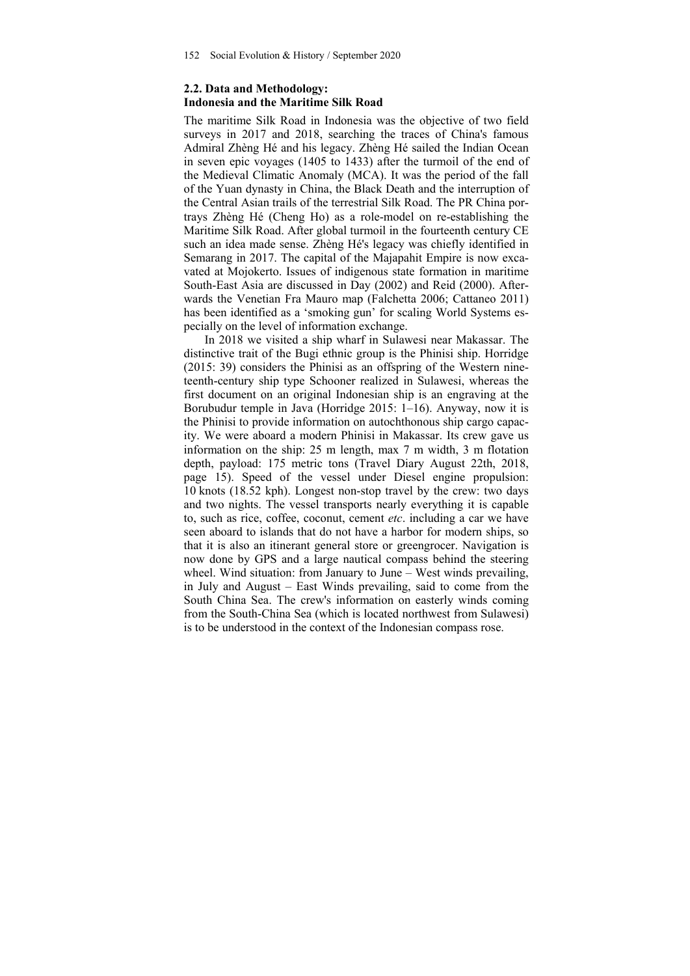# **2.2. Data and Methodology: Indonesia and the Maritime Silk Road**

The maritime Silk Road in Indonesia was the objective of two field surveys in 2017 and 2018, searching the traces of China's famous Admiral Zhèng Hé and his legacy. Zhèng Hé sailed the Indian Ocean in seven epic voyages (1405 to 1433) after the turmoil of the end of the Medieval Climatic Anomaly (MCA). It was the period of the fall of the Yuan dynasty in China, the Black Death and the interruption of the Central Asian trails of the terrestrial Silk Road. The PR China portrays Zhèng Hé (Cheng Ho) as a role-model on re-establishing the Maritime Silk Road. After global turmoil in the fourteenth century CE such an idea made sense. Zhèng Hé's legacy was chiefly identified in Semarang in 2017. The capital of the Majapahit Empire is now excavated at Mojokerto. Issues of indigenous state formation in maritime South-East Asia are discussed in Day (2002) and Reid (2000). Afterwards the Venetian Fra Mauro map (Falchetta 2006; Cattaneo 2011) has been identified as a 'smoking gun' for scaling World Systems especially on the level of information exchange.

In 2018 we visited a ship wharf in Sulawesi near Makassar. The distinctive trait of the Bugi ethnic group is the Phinisi ship. Horridge (2015: 39) considers the Phinisi as an offspring of the Western nineteenth-century ship type Schooner realized in Sulawesi, whereas the first document on an original Indonesian ship is an engraving at the Borubudur temple in Java (Horridge 2015: 1–16). Anyway, now it is the Phinisi to provide information on autochthonous ship cargo capacity. We were aboard a modern Phinisi in Makassar. Its crew gave us information on the ship: 25 m length, max 7 m width, 3 m flotation depth, payload: 175 metric tons (Travel Diary August 22th, 2018, page 15). Speed of the vessel under Diesel engine propulsion: 10 knots (18.52 kph). Longest non-stop travel by the crew: two days and two nights. The vessel transports nearly everything it is capable to, such as rice, coffee, coconut, cement *etc*. including a car we have seen aboard to islands that do not have a harbor for modern ships, so that it is also an itinerant general store or greengrocer. Navigation is now done by GPS and a large nautical compass behind the steering wheel. Wind situation: from January to June – West winds prevailing, in July and August – East Winds prevailing, said to come from the South China Sea. The crew's information on easterly winds coming from the South-China Sea (which is located northwest from Sulawesi) is to be understood in the context of the Indonesian compass rose.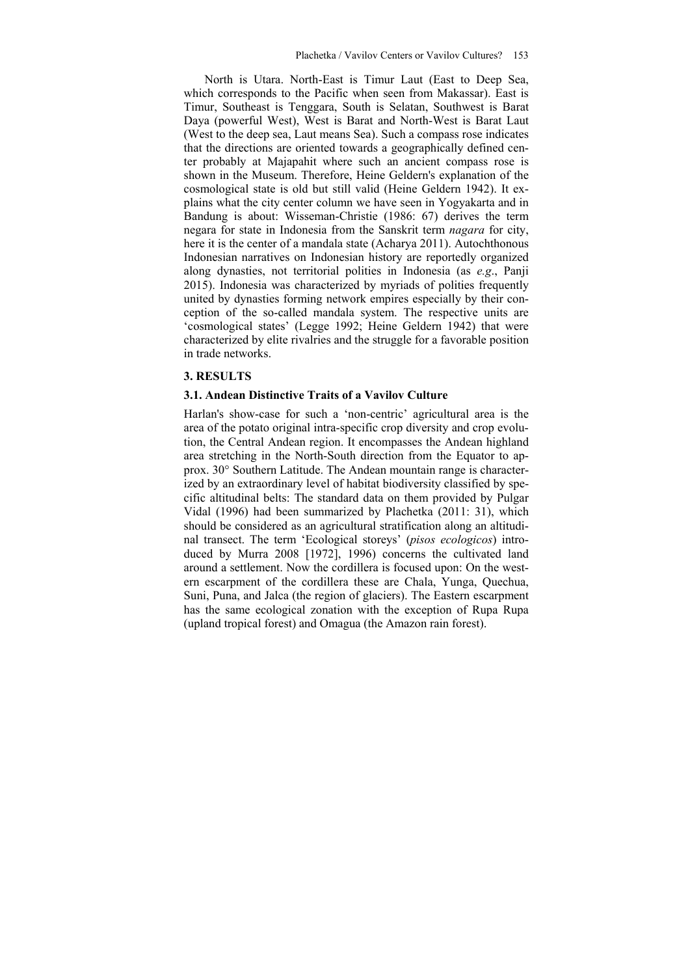North is Utara. North-East is Timur Laut (East to Deep Sea, which corresponds to the Pacific when seen from Makassar). East is Timur, Southeast is Tenggara, South is Selatan, Southwest is Barat Daya (powerful West), West is Barat and North-West is Barat Laut (West to the deep sea, Laut means Sea). Such a compass rose indicates that the directions are oriented towards a geographically defined center probably at Majapahit where such an ancient compass rose is shown in the Museum. Therefore, Heine Geldern's explanation of the cosmological state is old but still valid (Heine Geldern 1942). It explains what the city center column we have seen in Yogyakarta and in Bandung is about: Wisseman-Christie (1986: 67) derives the term negara for state in Indonesia from the Sanskrit term *nagara* for city, here it is the center of a mandala state (Acharya 2011). Autochthonous Indonesian narratives on Indonesian history are reportedly organized along dynasties, not territorial polities in Indonesia (as *e.g*., Panji 2015). Indonesia was characterized by myriads of polities frequently united by dynasties forming network empires especially by their conception of the so-called mandala system. The respective units are 'cosmological states' (Legge 1992; Heine Geldern 1942) that were characterized by elite rivalries and the struggle for a favorable position in trade networks.

#### **3. RESULTS**

#### **3.1. Andean Distinctive Traits of a Vavilov Culture**

Harlan's show-case for such a 'non-centric' agricultural area is the area of the potato original intra-specific crop diversity and crop evolution, the Central Andean region. It encompasses the Andean highland area stretching in the North-South direction from the Equator to approx. 30° Southern Latitude. The Andean mountain range is characterized by an extraordinary level of habitat biodiversity classified by specific altitudinal belts: The standard data on them provided by Pulgar Vidal (1996) had been summarized by Plachetka (2011: 31), which should be considered as an agricultural stratification along an altitudinal transect. The term 'Ecological storeys' (*pisos ecologicos*) introduced by Murra 2008 [1972], 1996) concerns the cultivated land around a settlement. Now the cordillera is focused upon: On the western escarpment of the cordillera these are Chala, Yunga, Quechua, Suni, Puna, and Jalca (the region of glaciers). The Eastern escarpment has the same ecological zonation with the exception of Rupa Rupa (upland tropical forest) and Omagua (the Amazon rain forest).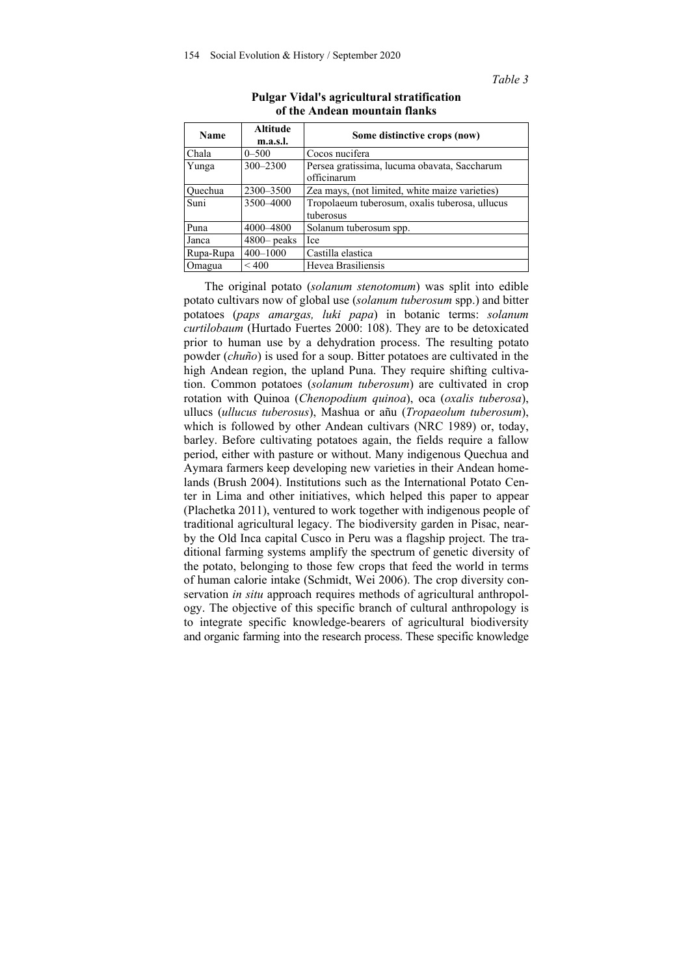*Table 3* 

| <b>Name</b> | <b>Altitude</b><br>m.a.s.l. | Some distinctive crops (now)                                |  |
|-------------|-----------------------------|-------------------------------------------------------------|--|
| Chala       | $0 - 500$                   | Cocos nucifera                                              |  |
| Yunga       | 300-2300                    | Persea gratissima, lucuma obavata, Saccharum<br>officinarum |  |
| Ouechua     | 2300-3500                   | Zea mays, (not limited, white maize varieties)              |  |
| Suni        | 3500-4000                   | Tropolaeum tuberosum, oxalis tuberosa, ullucus<br>tuberosus |  |
| Puna        | 4000-4800                   | Solanum tuberosum spp.                                      |  |
| Janca       | $4800$ peaks                | Ice                                                         |  |
| Rupa-Rupa   | $400 - 1000$                | Castilla elastica                                           |  |
| Omagua      | ${}_{< 400}$                | Hevea Brasiliensis                                          |  |

#### **Pulgar Vidal's agricultural stratification of the Andean mountain flanks**

The original potato (*solanum stenotomum*) was split into edible potato cultivars now of global use (*solanum tuberosum* spp.) and bitter potatoes (*paps amargas, luki papa*) in botanic terms: *solanum curtilobaum* (Hurtado Fuertes 2000: 108). They are to be detoxicated prior to human use by a dehydration process. The resulting potato powder (*chuño*) is used for a soup. Bitter potatoes are cultivated in the high Andean region, the upland Puna. They require shifting cultivation. Common potatoes (*solanum tuberosum*) are cultivated in crop rotation with Quinoa (*Chenopodium quinoa*), oca (*oxalis tuberosa*), ullucs (*ullucus tuberosus*), Mashua or añu (*Tropaeolum tuberosum*), which is followed by other Andean cultivars (NRC 1989) or, today, barley. Before cultivating potatoes again, the fields require a fallow period, either with pasture or without. Many indigenous Quechua and Aymara farmers keep developing new varieties in their Andean homelands (Brush 2004). Institutions such as the International Potato Center in Lima and other initiatives, which helped this paper to appear (Plachetka 2011), ventured to work together with indigenous people of traditional agricultural legacy. The biodiversity garden in Pisac, nearby the Old Inca capital Cusco in Peru was a flagship project. The traditional farming systems amplify the spectrum of genetic diversity of the potato, belonging to those few crops that feed the world in terms of human calorie intake (Schmidt, Wei 2006). The crop diversity conservation *in situ* approach requires methods of agricultural anthropology. The objective of this specific branch of cultural anthropology is to integrate specific knowledge-bearers of agricultural biodiversity and organic farming into the research process. These specific knowledge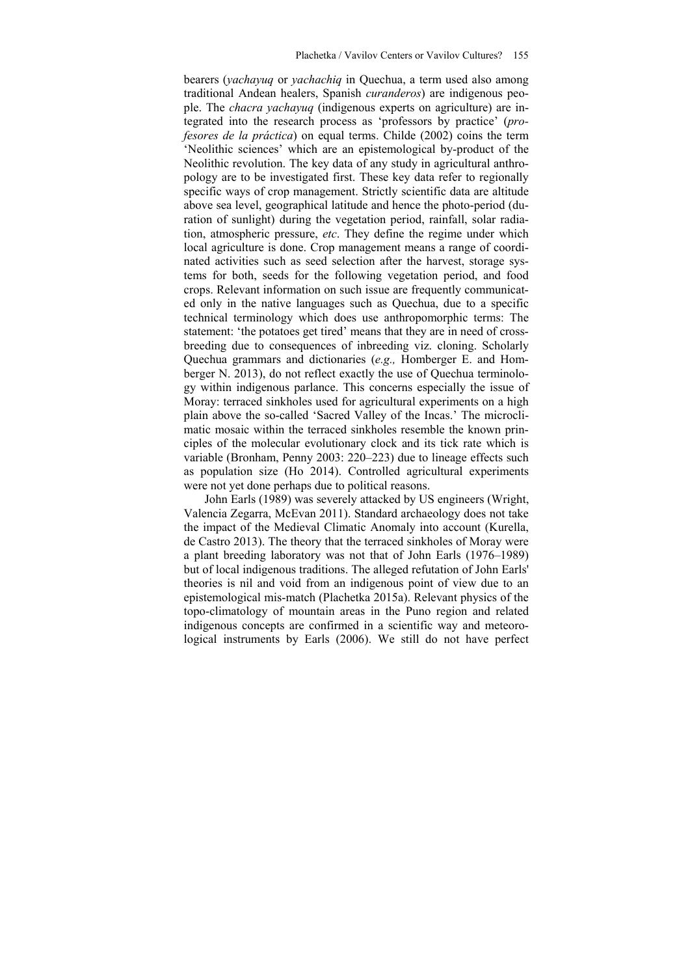bearers (*yachayuq* or *yachachiq* in Quechua, a term used also among traditional Andean healers, Spanish *curanderos*) are indigenous people. The *chacra yachayuq* (indigenous experts on agriculture) are integrated into the research process as 'professors by practice' (*profesores de la práctica*) on equal terms. Childe (2002) coins the term 'Neolithic sciences' which are an epistemological by-product of the Neolithic revolution. The key data of any study in agricultural anthropology are to be investigated first. These key data refer to regionally specific ways of crop management. Strictly scientific data are altitude above sea level, geographical latitude and hence the photo-period (duration of sunlight) during the vegetation period, rainfall, solar radiation, atmospheric pressure, *etc*. They define the regime under which local agriculture is done. Crop management means a range of coordinated activities such as seed selection after the harvest, storage systems for both, seeds for the following vegetation period, and food crops. Relevant information on such issue are frequently communicated only in the native languages such as Quechua, due to a specific technical terminology which does use anthropomorphic terms: The statement: 'the potatoes get tired' means that they are in need of crossbreeding due to consequences of inbreeding viz. cloning. Scholarly Quechua grammars and dictionaries (*e.g.,* Homberger E. and Homberger N. 2013), do not reflect exactly the use of Quechua terminology within indigenous parlance. This concerns especially the issue of Moray: terraced sinkholes used for agricultural experiments on a high plain above the so-called 'Sacred Valley of the Incas.' The microclimatic mosaic within the terraced sinkholes resemble the known principles of the molecular evolutionary clock and its tick rate which is variable (Bronham, Penny 2003: 220–223) due to lineage effects such as population size (Ho 2014). Controlled agricultural experiments were not yet done perhaps due to political reasons.

John Earls (1989) was severely attacked by US engineers (Wright, Valencia Zegarra, McEvan 2011). Standard archaeology does not take the impact of the Medieval Climatic Anomaly into account (Kurella, de Castro 2013). The theory that the terraced sinkholes of Moray were a plant breeding laboratory was not that of John Earls (1976–1989) but of local indigenous traditions. The alleged refutation of John Earls' theories is nil and void from an indigenous point of view due to an epistemological mis-match (Plachetka 2015a). Relevant physics of the topo-climatology of mountain areas in the Puno region and related indigenous concepts are confirmed in a scientific way and meteorological instruments by Earls (2006). We still do not have perfect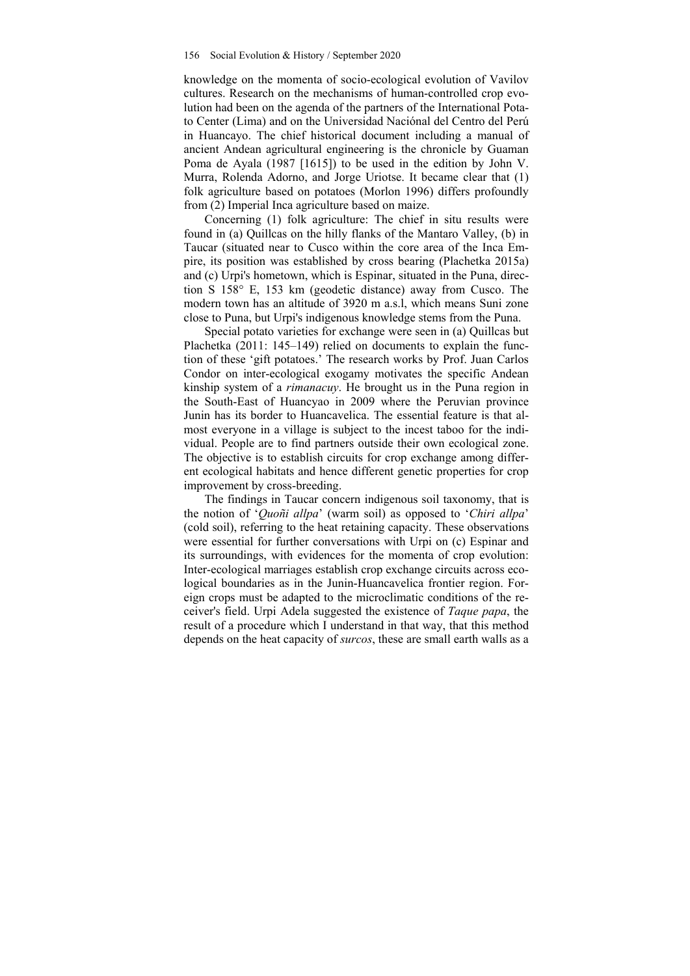knowledge on the momenta of socio-ecological evolution of Vavilov cultures. Research on the mechanisms of human-controlled crop evolution had been on the agenda of the partners of the International Potato Center (Lima) and on the Universidad Naciónal del Centro del Perú in Huancayo. The chief historical document including a manual of ancient Andean agricultural engineering is the chronicle by Guaman Poma de Ayala (1987 [1615]) to be used in the edition by John V. Murra, Rolenda Adorno, and Jorge Uriotse. It became clear that (1) folk agriculture based on potatoes (Morlon 1996) differs profoundly from (2) Imperial Inca agriculture based on maize.

Concerning (1) folk agriculture: The chief in situ results were found in (a) Quillcas on the hilly flanks of the Mantaro Valley, (b) in Taucar (situated near to Cusco within the core area of the Inca Empire, its position was established by cross bearing (Plachetka 2015a) and (c) Urpi's hometown, which is Espinar, situated in the Puna, direction S 158° E, 153 km (geodetic distance) away from Cusco. The modern town has an altitude of 3920 m a.s.l, which means Suni zone close to Puna, but Urpi's indigenous knowledge stems from the Puna.

Special potato varieties for exchange were seen in (a) Quillcas but Plachetka (2011: 145–149) relied on documents to explain the function of these 'gift potatoes.' The research works by Prof. Juan Carlos Condor on inter-ecological exogamy motivates the specific Andean kinship system of a *rimanacuy*. He brought us in the Puna region in the South-East of Huancyao in 2009 where the Peruvian province Junin has its border to Huancavelica. The essential feature is that almost everyone in a village is subject to the incest taboo for the individual. People are to find partners outside their own ecological zone. The objective is to establish circuits for crop exchange among different ecological habitats and hence different genetic properties for crop improvement by cross-breeding.

The findings in Taucar concern indigenous soil taxonomy, that is the notion of '*Quoñi allpa*' (warm soil) as opposed to '*Chiri allpa*' (cold soil), referring to the heat retaining capacity. These observations were essential for further conversations with Urpi on (c) Espinar and its surroundings, with evidences for the momenta of crop evolution: Inter-ecological marriages establish crop exchange circuits across ecological boundaries as in the Junin-Huancavelica frontier region. Foreign crops must be adapted to the microclimatic conditions of the receiver's field. Urpi Adela suggested the existence of *Taque papa*, the result of a procedure which I understand in that way, that this method depends on the heat capacity of *surcos*, these are small earth walls as a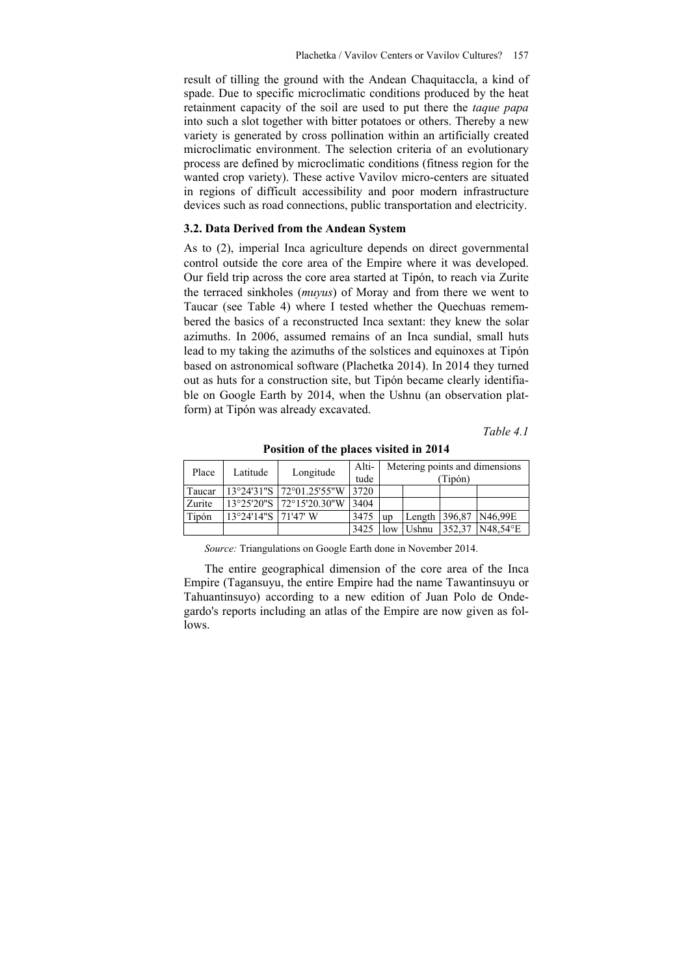result of tilling the ground with the Andean Chaquitaccla, a kind of spade. Due to specific microclimatic conditions produced by the heat retainment capacity of the soil are used to put there the *taque papa* into such a slot together with bitter potatoes or others. Thereby a new variety is generated by cross pollination within an artificially created microclimatic environment. The selection criteria of an evolutionary process are defined by microclimatic conditions (fitness region for the wanted crop variety). These active Vavilov micro-centers are situated in regions of difficult accessibility and poor modern infrastructure devices such as road connections, public transportation and electricity.

#### **3.2. Data Derived from the Andean System**

As to (2), imperial Inca agriculture depends on direct governmental control outside the core area of the Empire where it was developed. Our field trip across the core area started at Tipón, to reach via Zurite the terraced sinkholes (*muyus*) of Moray and from there we went to Taucar (see Table 4) where I tested whether the Quechuas remembered the basics of a reconstructed Inca sextant: they knew the solar azimuths. In 2006, assumed remains of an Inca sundial, small huts lead to my taking the azimuths of the solstices and equinoxes at Tipón based on astronomical software (Plachetka 2014). In 2014 they turned out as huts for a construction site, but Tipón became clearly identifiable on Google Earth by 2014, when the Ushnu (an observation platform) at Tipón was already excavated.

*Table 4.1* 

| Place  | Latitude             | Longitude                                      | Alti- |           | Metering points and dimensions |         |                                |
|--------|----------------------|------------------------------------------------|-------|-----------|--------------------------------|---------|--------------------------------|
|        |                      |                                                | tude  |           |                                | (Tipón) |                                |
| Taucar |                      | $13^{\circ}24'31''S$ 172 $^{\circ}01.25'55''W$ | 3720  |           |                                |         |                                |
| Zurite |                      | $13^{\circ}25'20''S$ 172°15'20.30"W            | 3404  |           |                                |         |                                |
| Tipón  | 13°24'14"S 171'47' W |                                                | 3475  | <b>up</b> |                                |         | Length 396,87 N46,99E          |
|        |                      |                                                | 3425  | low       | <b>Ushnu</b>                   |         | $352.37$ N48.54 <sup>o</sup> E |

**Position of the places visited in 2014** 

*Source:* Triangulations on Google Earth done in November 2014.

The entire geographical dimension of the core area of the Inca Empire (Tagansuyu, the entire Empire had the name Tawantinsuyu or Tahuantinsuyo) according to a new edition of Juan Polo de Ondegardo's reports including an atlas of the Empire are now given as follows.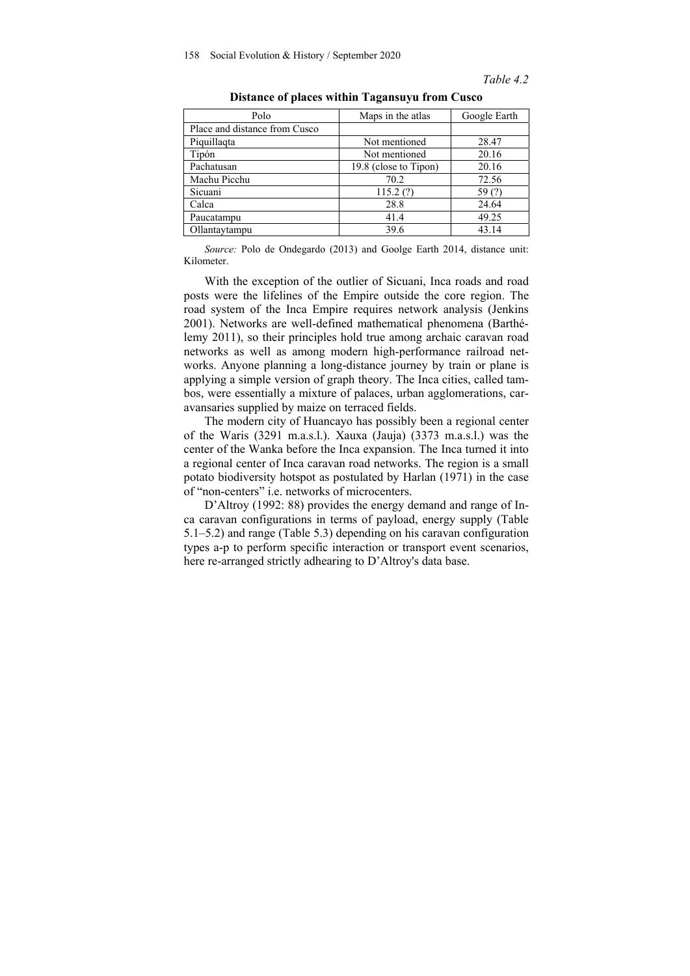*Table 4.2* 

| Polo                          | Maps in the atlas     | Google Earth |
|-------------------------------|-----------------------|--------------|
| Place and distance from Cusco |                       |              |
| Piquillagta                   | Not mentioned         | 28.47        |
| Tipón                         | Not mentioned         | 20.16        |
| Pachatusan                    | 19.8 (close to Tipon) | 20.16        |
| Machu Picchu                  | 70.2                  | 72.56        |
| Sicuani                       | 115.2(?)              | 59(?)        |
| Calca                         | 28.8                  | 24.64        |
| Paucatampu                    | 41.4                  | 49.25        |
| Ollantaytampu                 | 39.6                  | 43.14        |
|                               |                       |              |

**Distance of places within Tagansuyu from Cusco** 

*Source:* Polo de Ondegardo (2013) and Goolge Earth 2014, distance unit: Kilometer.

With the exception of the outlier of Sicuani, Inca roads and road posts were the lifelines of the Empire outside the core region. The road system of the Inca Empire requires network analysis (Jenkins 2001). Networks are well-defined mathematical phenomena (Barthélemy 2011), so their principles hold true among archaic caravan road networks as well as among modern high-performance railroad networks. Anyone planning a long-distance journey by train or plane is applying a simple version of graph theory. The Inca cities, called tambos, were essentially a mixture of palaces, urban agglomerations, caravansaries supplied by maize on terraced fields.

The modern city of Huancayo has possibly been a regional center of the Waris (3291 m.a.s.l.). Xauxa (Jauja) (3373 m.a.s.l.) was the center of the Wanka before the Inca expansion. The Inca turned it into a regional center of Inca caravan road networks. The region is a small potato biodiversity hotspot as postulated by Harlan (1971) in the case of "non-centers" i.e. networks of microcenters.

D'Altroy (1992: 88) provides the energy demand and range of Inca caravan configurations in terms of payload, energy supply (Table 5.1–5.2) and range (Table 5.3) depending on his caravan configuration types a-p to perform specific interaction or transport event scenarios, here re-arranged strictly adhearing to D'Altroy's data base.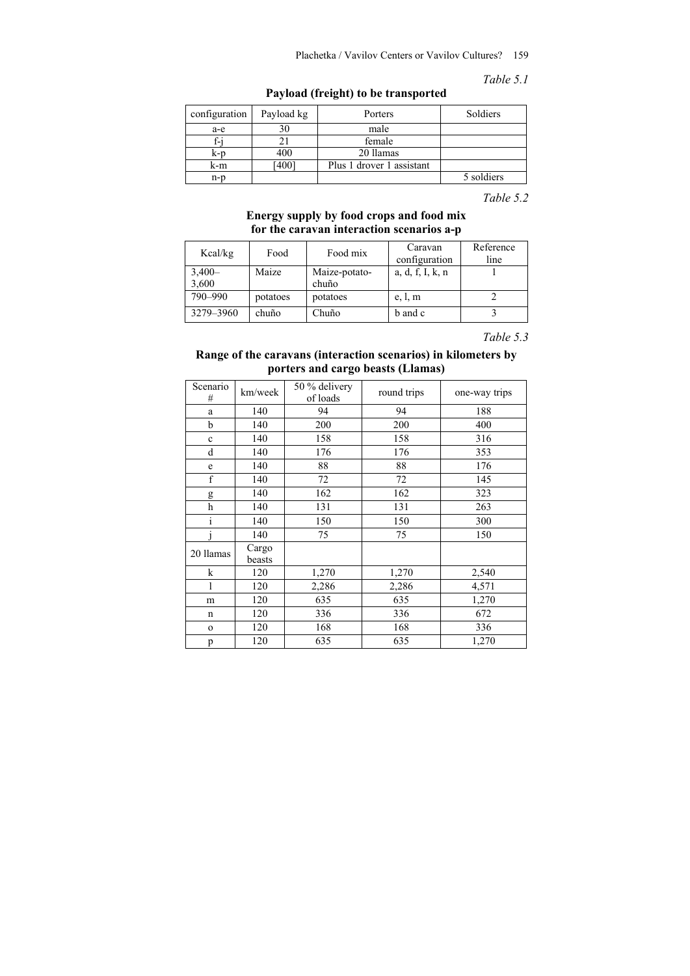# Plachetka / Vavilov Centers or Vavilov Cultures? 159

*Table 5.1* 

**Payload (freight) to be transported** 

| configuration | Payload kg | Porters                   | Soldiers   |
|---------------|------------|---------------------------|------------|
| a-e           | 30         | male                      |            |
|               |            | female                    |            |
| k-p           | 400        | 20 llamas                 |            |
| k-m           | [400]      | Plus 1 drover 1 assistant |            |
| n-p           |            |                           | 5 soldiers |

*Table 5.2* 

# **Energy supply by food crops and food mix for the caravan interaction scenarios a-p**

| Kcal/kg   | Food     | Food mix      | Caravan          | Reference |
|-----------|----------|---------------|------------------|-----------|
|           |          |               | configuration    | line      |
| $3,400-$  | Maize    | Maize-potato- | a, d, f, I, k, n |           |
| 3,600     |          | chuño         |                  |           |
| 790-990   | potatoes | potatoes      | e, l, m          |           |
| 3279-3960 | chuño    | Chuño         | b and c          |           |

*Table 5.3* 

# **Range of the caravans (interaction scenarios) in kilometers by porters and cargo beasts (Llamas)**

| Scenario<br># | km/week         | 50 % delivery<br>of loads | round trips | one-way trips |
|---------------|-----------------|---------------------------|-------------|---------------|
| a             | 140             | 94                        | 94          | 188           |
| b             | 140             | 200                       | 200         | 400           |
| $\mathbf c$   | 140             | 158                       | 158         | 316           |
| d             | 140             | 176                       | 176         | 353           |
| e             | 140             | 88                        | 88          | 176           |
| $\mathbf f$   | 140             | 72                        | 72          | 145           |
| g             | 140             | 162                       | 162         | 323           |
| h             | 140             | 131                       | 131         | 263           |
| $\rm i$       | 140             | 150                       | 150         | 300           |
|               | 140             | 75                        | 75          | 150           |
| 20 llamas     | Cargo<br>beasts |                           |             |               |
| k             | 120             | 1,270                     | 1,270       | 2,540         |
|               | 120             | 2,286                     | 2,286       | 4,571         |
| m             | 120             | 635                       | 635         | 1,270         |
| n             | 120             | 336                       | 336         | 672           |
| $\mathbf{o}$  | 120             | 168                       | 168         | 336           |
| p             | 120             | 635                       | 635         | 1,270         |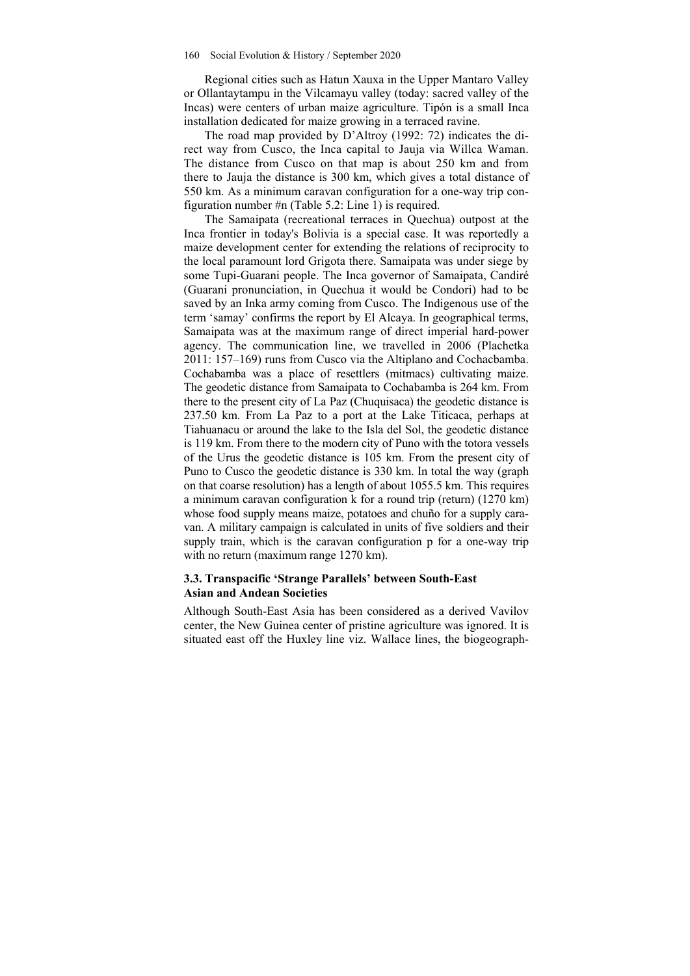Regional cities such as Hatun Xauxa in the Upper Mantaro Valley or Ollantaytampu in the Vilcamayu valley (today: sacred valley of the Incas) were centers of urban maize agriculture. Tipón is a small Inca installation dedicated for maize growing in a terraced ravine.

The road map provided by D'Altroy (1992: 72) indicates the direct way from Cusco, the Inca capital to Jauja via Willca Waman. The distance from Cusco on that map is about 250 km and from there to Jauja the distance is 300 km, which gives a total distance of 550 km. As a minimum caravan configuration for a one-way trip configuration number #n (Table 5.2: Line 1) is required.

The Samaipata (recreational terraces in Quechua) outpost at the Inca frontier in today's Bolivia is a special case. It was reportedly a maize development center for extending the relations of reciprocity to the local paramount lord Grigota there. Samaipata was under siege by some Tupi-Guarani people. The Inca governor of Samaipata, Candiré (Guarani pronunciation, in Quechua it would be Condori) had to be saved by an Inka army coming from Cusco. The Indigenous use of the term 'samay' confirms the report by El Alcaya. In geographical terms, Samaipata was at the maximum range of direct imperial hard-power agency. The communication line, we travelled in 2006 (Plachetka 2011: 157–169) runs from Cusco via the Altiplano and Cochacbamba. Cochabamba was a place of resettlers (mitmacs) cultivating maize. The geodetic distance from Samaipata to Cochabamba is 264 km. From there to the present city of La Paz (Chuquisaca) the geodetic distance is 237.50 km. From La Paz to a port at the Lake Titicaca, perhaps at Tiahuanacu or around the lake to the Isla del Sol, the geodetic distance is 119 km. From there to the modern city of Puno with the totora vessels of the Urus the geodetic distance is 105 km. From the present city of Puno to Cusco the geodetic distance is 330 km. In total the way (graph on that coarse resolution) has a length of about 1055.5 km. This requires a minimum caravan configuration k for a round trip (return) (1270 km) whose food supply means maize, potatoes and chuño for a supply caravan. A military campaign is calculated in units of five soldiers and their supply train, which is the caravan configuration p for a one-way trip with no return (maximum range 1270 km).

# **3.3. Transpacific 'Strange Parallels' between South-East Asian and Andean Societies**

Although South-East Asia has been considered as a derived Vavilov center, the New Guinea center of pristine agriculture was ignored. It is situated east off the Huxley line viz. Wallace lines, the biogeograph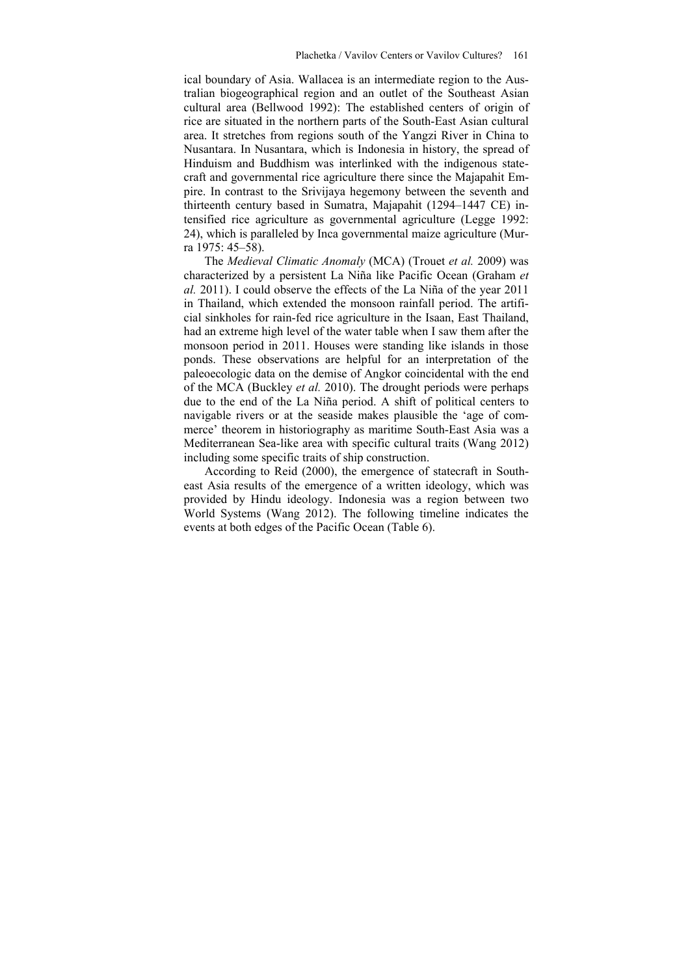ical boundary of Asia. Wallacea is an intermediate region to the Australian biogeographical region and an outlet of the Southeast Asian cultural area (Bellwood 1992): The established centers of origin of rice are situated in the northern parts of the South-East Asian cultural area. It stretches from regions south of the Yangzi River in China to Nusantara. In Nusantara, which is Indonesia in history, the spread of Hinduism and Buddhism was interlinked with the indigenous statecraft and governmental rice agriculture there since the Majapahit Empire. In contrast to the Srivijaya hegemony between the seventh and thirteenth century based in Sumatra, Majapahit (1294–1447 CE) intensified rice agriculture as governmental agriculture (Legge 1992: 24), which is paralleled by Inca governmental maize agriculture (Murra 1975: 45–58).

The *Medieval Climatic Anomaly* (MCA) (Trouet *et al.* 2009) was characterized by a persistent La Niña like Pacific Ocean (Graham *et al.* 2011). I could observe the effects of the La Niña of the year 2011 in Thailand, which extended the monsoon rainfall period. The artificial sinkholes for rain-fed rice agriculture in the Isaan, East Thailand, had an extreme high level of the water table when I saw them after the monsoon period in 2011. Houses were standing like islands in those ponds. These observations are helpful for an interpretation of the paleoecologic data on the demise of Angkor coincidental with the end of the MCA (Buckley *et al.* 2010). The drought periods were perhaps due to the end of the La Niña period. A shift of political centers to navigable rivers or at the seaside makes plausible the 'age of commerce' theorem in historiography as maritime South-East Asia was a Mediterranean Sea-like area with specific cultural traits (Wang 2012) including some specific traits of ship construction.

According to Reid (2000), the emergence of statecraft in Southeast Asia results of the emergence of a written ideology, which was provided by Hindu ideology. Indonesia was a region between two World Systems (Wang 2012). The following timeline indicates the events at both edges of the Pacific Ocean (Table 6).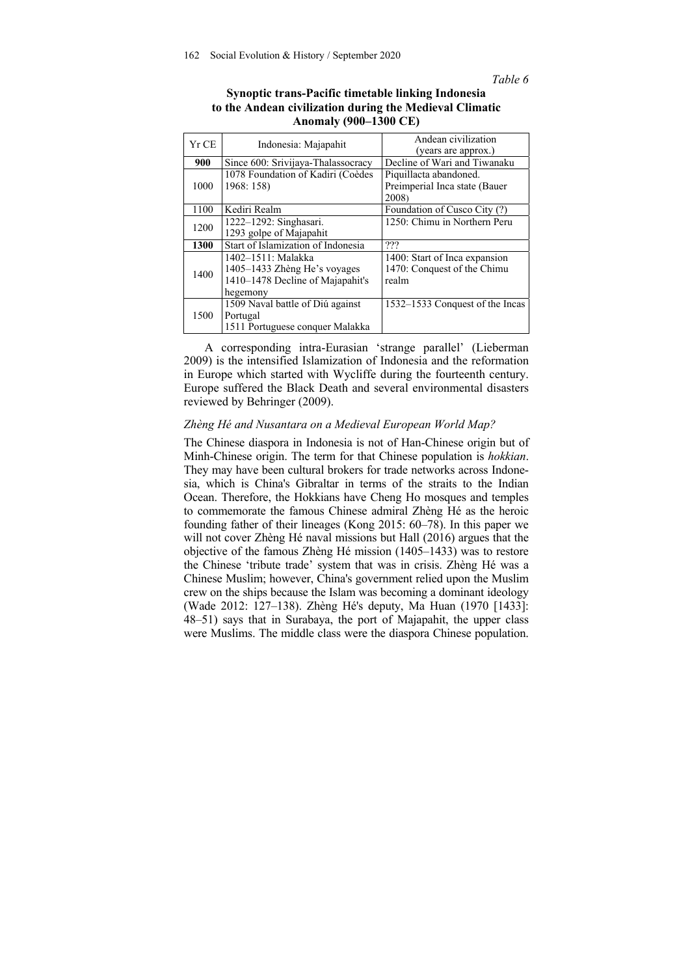*Table 6* 

| Synoptic trans-Pacific timetable linking Indonesia      |
|---------------------------------------------------------|
| to the Andean civilization during the Medieval Climatic |
| <b>Anomaly (900–1300 CE)</b>                            |

| Yr CE | Indonesia: Majapahit               | Andean civilization<br>(years are approx.) |  |
|-------|------------------------------------|--------------------------------------------|--|
| 900   | Since 600: Srivijaya-Thalassocracy | Decline of Wari and Tiwanaku               |  |
| 1000  | 1078 Foundation of Kadiri (Coèdes  | Piquillacta abandoned.                     |  |
|       | 1968: 158)                         | Preimperial Inca state (Bauer              |  |
|       |                                    | 2008)                                      |  |
| 1100  | Kediri Realm                       | Foundation of Cusco City (?)               |  |
| 1200  | 1222-1292: Singhasari.             | 1250: Chimu in Northern Peru               |  |
|       | 1293 golpe of Majapahit            |                                            |  |
| 1300  | Start of Islamization of Indonesia | ???                                        |  |
| 1400  | 1402–1511: Malakka                 | 1400: Start of Inca expansion              |  |
|       | 1405–1433 Zhèng He's voyages       | 1470: Conquest of the Chimu                |  |
|       | 1410–1478 Decline of Majapahit's   | realm                                      |  |
|       | hegemony                           |                                            |  |
| 1500  | 1509 Naval battle of Diú against   | 1532-1533 Conquest of the Incas            |  |
|       | Portugal                           |                                            |  |
|       | 1511 Portuguese conquer Malakka    |                                            |  |

A corresponding intra-Eurasian 'strange parallel' (Lieberman 2009) is the intensified Islamization of Indonesia and the reformation in Europe which started with Wycliffe during the fourteenth century. Europe suffered the Black Death and several environmental disasters reviewed by Behringer (2009).

## *Zhèng Hé and Nusantara on a Medieval European World Map?*

The Chinese diaspora in Indonesia is not of Han-Chinese origin but of Minh-Chinese origin. The term for that Chinese population is *hokkian*. They may have been cultural brokers for trade networks across Indonesia, which is China's Gibraltar in terms of the straits to the Indian Ocean. Therefore, the Hokkians have Cheng Ho mosques and temples to commemorate the famous Chinese admiral Zhèng Hé as the heroic founding father of their lineages (Kong 2015: 60–78). In this paper we will not cover Zhèng Hé naval missions but Hall (2016) argues that the objective of the famous Zhèng Hé mission (1405–1433) was to restore the Chinese 'tribute trade' system that was in crisis. Zhèng Hé was a Chinese Muslim; however, China's government relied upon the Muslim crew on the ships because the Islam was becoming a dominant ideology (Wade 2012: 127–138). Zhèng Hé's deputy, Ma Huan (1970 [1433]: 48–51) says that in Surabaya, the port of Majapahit, the upper class were Muslims. The middle class were the diaspora Chinese population.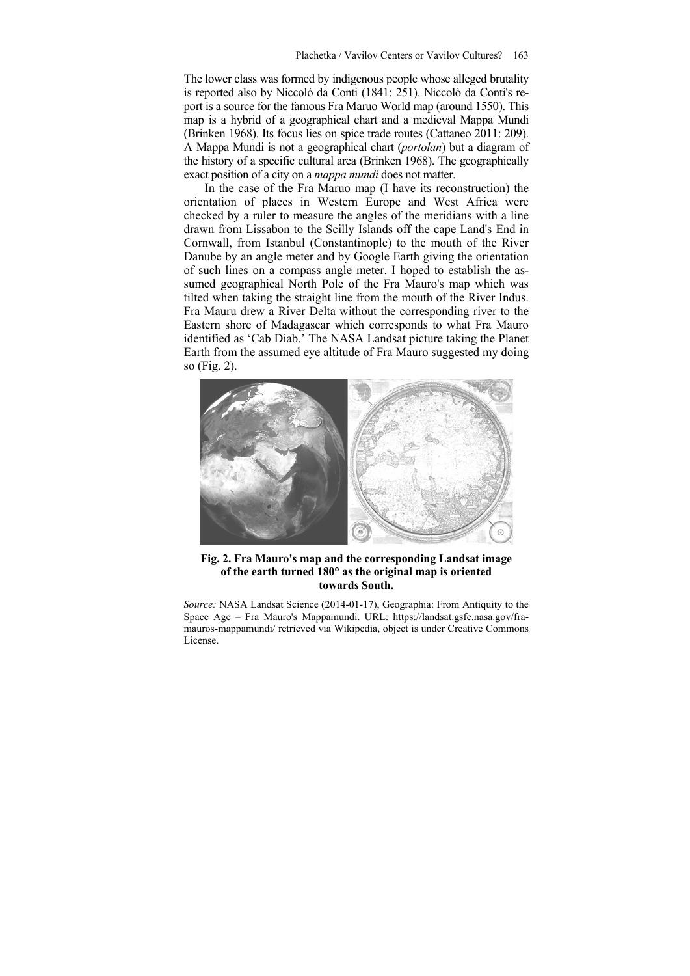The lower class was formed by indigenous people whose alleged brutality is reported also by Niccoló da Conti (1841: 251). Niccolò da Conti's report is a source for the famous Fra Maruo World map (around 1550). This map is a hybrid of a geographical chart and a medieval Mappa Mundi (Brinken 1968). Its focus lies on spice trade routes (Cattaneo 2011: 209). A Mappa Mundi is not a geographical chart (*portolan*) but a diagram of the history of a specific cultural area (Brinken 1968). The geographically exact position of a city on a *mappa mundi* does not matter.

In the case of the Fra Maruo map (I have its reconstruction) the orientation of places in Western Europe and West Africa were checked by a ruler to measure the angles of the meridians with a line drawn from Lissabon to the Scilly Islands off the cape Land's End in Cornwall, from Istanbul (Constantinople) to the mouth of the River Danube by an angle meter and by Google Earth giving the orientation of such lines on a compass angle meter. I hoped to establish the assumed geographical North Pole of the Fra Mauro's map which was tilted when taking the straight line from the mouth of the River Indus. Fra Mauru drew a River Delta without the corresponding river to the Eastern shore of Madagascar which corresponds to what Fra Mauro identified as 'Cab Diab.' The NASA Landsat picture taking the Planet Earth from the assumed eye altitude of Fra Mauro suggested my doing so (Fig. 2).



**Fig. 2. Fra Mauro's map and the corresponding Landsat image of the earth turned 180° as the original map is oriented towards South.** 

*Source:* NASA Landsat Science (2014-01-17), Geographia: From Antiquity to the Space Age – Fra Mauro's Mappamundi. URL: https://landsat.gsfc.nasa.gov/framauros-mappamundi/ retrieved via Wikipedia, object is under Creative Commons License.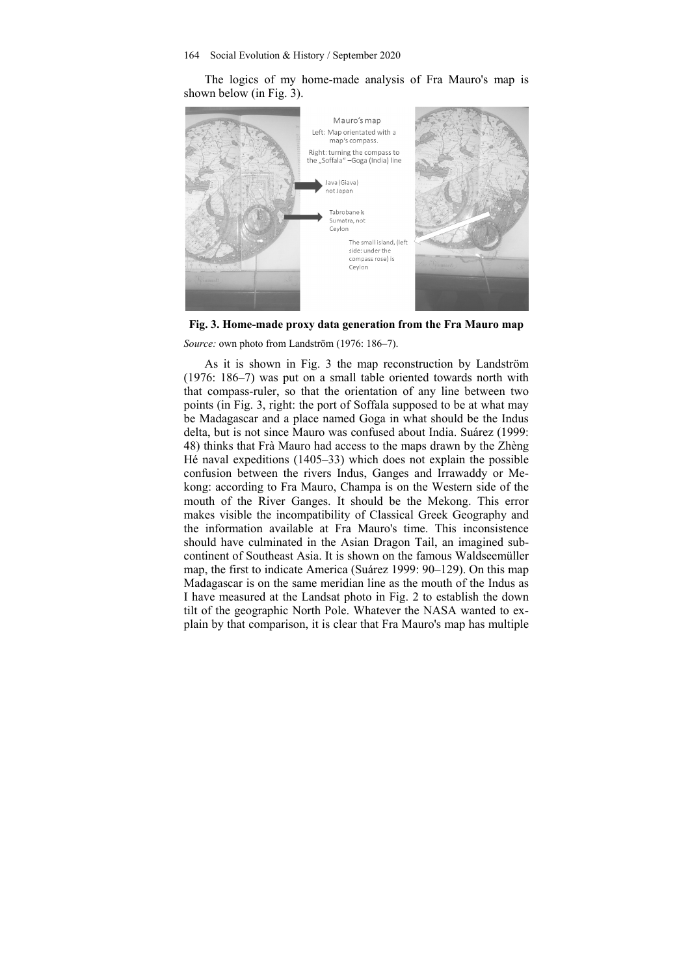The logics of my home-made analysis of Fra Mauro's map is shown below (in Fig. 3).





*Source:* own photo from Landström (1976: 186–7).

As it is shown in Fig. 3 the map reconstruction by Landström (1976: 186–7) was put on a small table oriented towards north with that compass-ruler, so that the orientation of any line between two points (in Fig. 3, right: the port of Soffala supposed to be at what may be Madagascar and a place named Goga in what should be the Indus delta, but is not since Mauro was confused about India. Suárez (1999: 48) thinks that Frà Mauro had access to the maps drawn by the Zhèng Hé naval expeditions (1405–33) which does not explain the possible confusion between the rivers Indus, Ganges and Irrawaddy or Mekong: according to Fra Mauro, Champa is on the Western side of the mouth of the River Ganges. It should be the Mekong. This error makes visible the incompatibility of Classical Greek Geography and the information available at Fra Mauro's time. This inconsistence should have culminated in the Asian Dragon Tail, an imagined subcontinent of Southeast Asia. It is shown on the famous Waldseemüller map, the first to indicate America (Suárez 1999: 90–129). On this map Madagascar is on the same meridian line as the mouth of the Indus as I have measured at the Landsat photo in Fig. 2 to establish the down tilt of the geographic North Pole. Whatever the NASA wanted to explain by that comparison, it is clear that Fra Mauro's map has multiple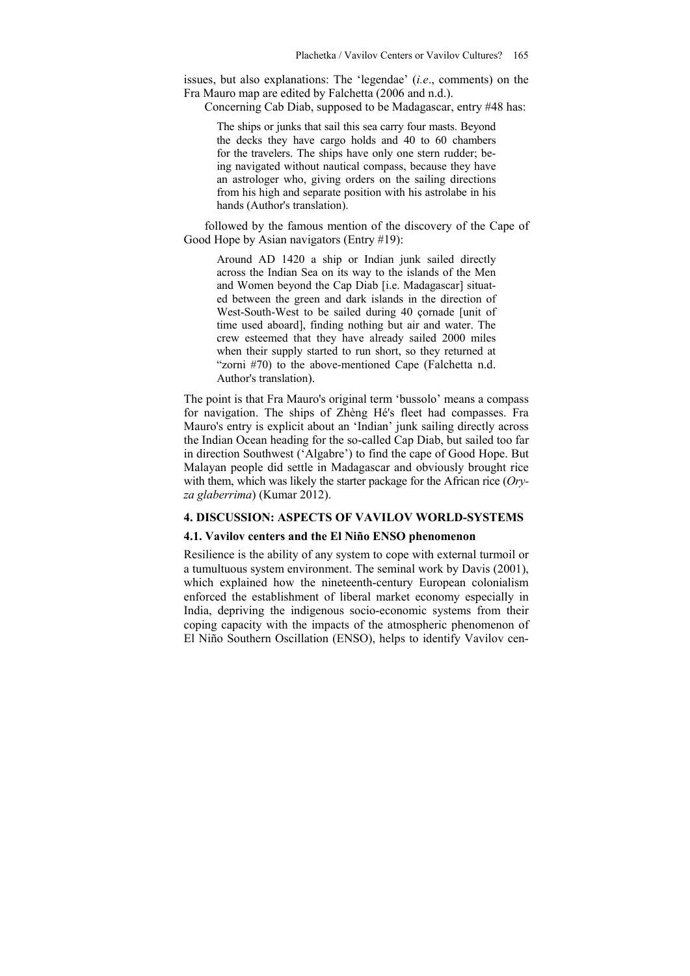issues, but also explanations: The 'legendae' (*i.e*., comments) on the Fra Mauro map are edited by Falchetta (2006 and n.d.).

Concerning Cab Diab, supposed to be Madagascar, entry #48 has:

The ships or junks that sail this sea carry four masts. Beyond the decks they have cargo holds and 40 to 60 chambers for the travelers. The ships have only one stern rudder; being navigated without nautical compass, because they have an astrologer who, giving orders on the sailing directions from his high and separate position with his astrolabe in his hands (Author's translation).

followed by the famous mention of the discovery of the Cape of Good Hope by Asian navigators (Entry #19):

Around AD 1420 a ship or Indian junk sailed directly across the Indian Sea on its way to the islands of the Men and Women beyond the Cap Diab [i.e. Madagascar] situated between the green and dark islands in the direction of West-South-West to be sailed during 40 çornade [unit of time used aboard], finding nothing but air and water. The crew esteemed that they have already sailed 2000 miles when their supply started to run short, so they returned at "zorni #70) to the above-mentioned Cape (Falchetta n.d. Author's translation).

The point is that Fra Mauro's original term 'bussolo' means a compass for navigation. The ships of Zhèng Hé's fleet had compasses. Fra Mauro's entry is explicit about an 'Indian' junk sailing directly across the Indian Ocean heading for the so-called Cap Diab, but sailed too far in direction Southwest ('Algabre') to find the cape of Good Hope. But Malayan people did settle in Madagascar and obviously brought rice with them, which was likely the starter package for the African rice (*Oryza glaberrima*) (Kumar 2012).

## **4. DISCUSSION: ASPECTS OF VAVILOV WORLD-SYSTEMS**

#### **4.1. Vavilov centers and the El Niño ENSO phenomenon**

Resilience is the ability of any system to cope with external turmoil or a tumultuous system environment. The seminal work by Davis (2001), which explained how the nineteenth-century European colonialism enforced the establishment of liberal market economy especially in India, depriving the indigenous socio-economic systems from their coping capacity with the impacts of the atmospheric phenomenon of El Niño Southern Oscillation (ENSO), helps to identify Vavilov cen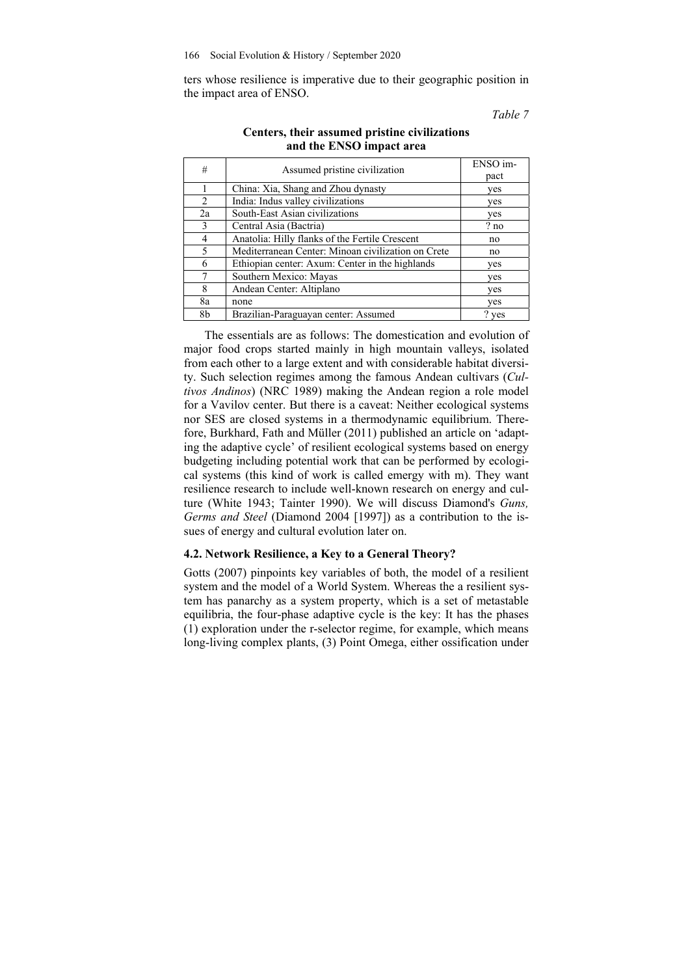ters whose resilience is imperative due to their geographic position in the impact area of ENSO.

*Table 7* 

| #              | Assumed pristine civilization                      | ENSO im-<br>pact |
|----------------|----------------------------------------------------|------------------|
|                | China: Xia, Shang and Zhou dynasty                 | yes              |
| $\mathcal{D}$  | India: Indus valley civilizations                  | yes              |
| 2a             | South-East Asian civilizations                     | yes              |
| 3              | Central Asia (Bactria)                             | ? no             |
| $\overline{4}$ | Anatolia: Hilly flanks of the Fertile Crescent     | no               |
| 5              | Mediterranean Center: Minoan civilization on Crete | no               |
| 6              | Ethiopian center: Axum: Center in the highlands    | yes              |
|                | Southern Mexico: Mayas                             | yes              |
| 8              | Andean Center: Altiplano                           | yes              |
| 8a             | none                                               | yes              |
| 8b             | Brazilian-Paraguayan center: Assumed               | ? yes            |

# **Centers, their assumed pristine civilizations and the ENSO impact area**

The essentials are as follows: The domestication and evolution of major food crops started mainly in high mountain valleys, isolated from each other to a large extent and with considerable habitat diversity. Such selection regimes among the famous Andean cultivars (*Cultivos Andinos*) (NRC 1989) making the Andean region a role model for a Vavilov center. But there is a caveat: Neither ecological systems nor SES are closed systems in a thermodynamic equilibrium. Therefore, Burkhard, Fath and Müller (2011) published an article on 'adapting the adaptive cycle' of resilient ecological systems based on energy budgeting including potential work that can be performed by ecological systems (this kind of work is called emergy with m). They want resilience research to include well-known research on energy and culture (White 1943; Tainter 1990). We will discuss Diamond's *Guns, Germs and Steel* (Diamond 2004 [1997]) as a contribution to the issues of energy and cultural evolution later on.

### **4.2. Network Resilience, a Key to a General Theory?**

Gotts (2007) pinpoints key variables of both, the model of a resilient system and the model of a World System. Whereas the a resilient system has panarchy as a system property, which is a set of metastable equilibria, the four-phase adaptive cycle is the key: It has the phases (1) exploration under the r-selector regime, for example, which means long-living complex plants, (3) Point Omega, either ossification under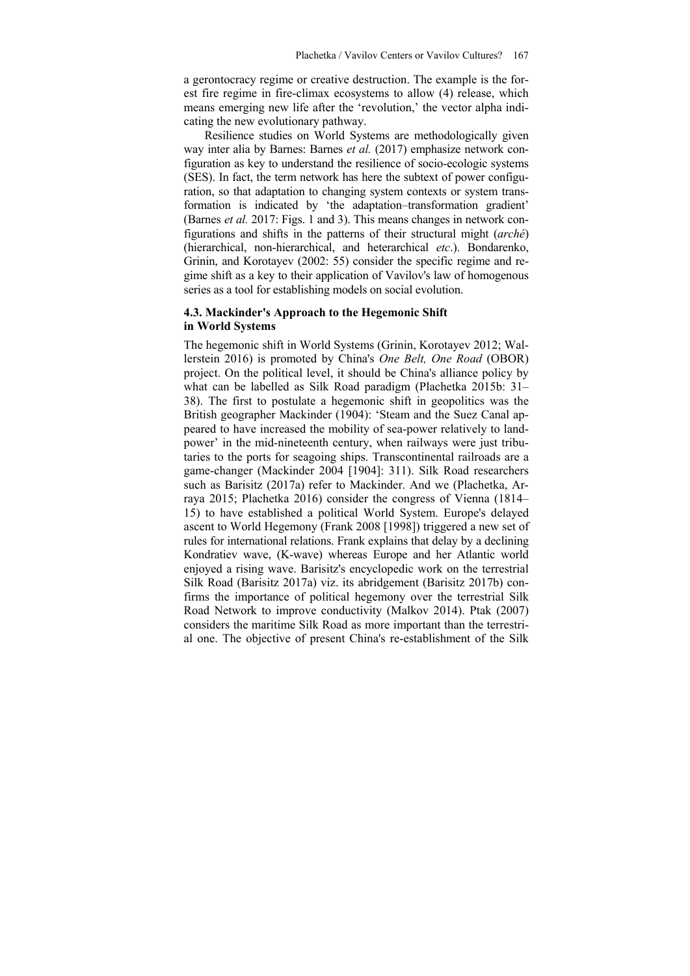a gerontocracy regime or creative destruction. The example is the forest fire regime in fire-climax ecosystems to allow (4) release, which means emerging new life after the 'revolution,' the vector alpha indicating the new evolutionary pathway.

Resilience studies on World Systems are methodologically given way inter alia by Barnes: Barnes *et al.* (2017) emphasize network configuration as key to understand the resilience of socio-ecologic systems (SES). In fact, the term network has here the subtext of power configuration, so that adaptation to changing system contexts or system transformation is indicated by 'the adaptation–transformation gradient' (Barnes *et al.* 2017: Figs. 1 and 3). This means changes in network configurations and shifts in the patterns of their structural might (*arché*) (hierarchical, non-hierarchical, and heterarchical *etc*.). Bondarenko, Grinin, and Korotayev (2002: 55) consider the specific regime and regime shift as a key to their application of Vavilov's law of homogenous series as a tool for establishing models on social evolution.

# **4.3. Mackinder's Approach to the Hegemonic Shift in World Systems**

The hegemonic shift in World Systems (Grinin, Korotayev 2012; Wallerstein 2016) is promoted by China's *One Belt, One Road* (OBOR) project. On the political level, it should be China's alliance policy by what can be labelled as Silk Road paradigm (Plachetka 2015b: 31– 38). The first to postulate a hegemonic shift in geopolitics was the British geographer Mackinder (1904): 'Steam and the Suez Canal appeared to have increased the mobility of sea-power relatively to landpower' in the mid-nineteenth century, when railways were just tributaries to the ports for seagoing ships. Transcontinental railroads are a game-changer (Mackinder 2004 [1904]: 311). Silk Road researchers such as Barisitz (2017a) refer to Mackinder. And we (Plachetka, Arraya 2015; Plachetka 2016) consider the congress of Vienna (1814– 15) to have established a political World System. Europe's delayed ascent to World Hegemony (Frank 2008 [1998]) triggered a new set of rules for international relations. Frank explains that delay by a declining Kondratiev wave, (K-wave) whereas Europe and her Atlantic world enjoyed a rising wave. Barisitz's encyclopedic work on the terrestrial Silk Road (Barisitz 2017a) viz. its abridgement (Barisitz 2017b) confirms the importance of political hegemony over the terrestrial Silk Road Network to improve conductivity (Malkov 2014). Ptak (2007) considers the maritime Silk Road as more important than the terrestrial one. The objective of present China's re-establishment of the Silk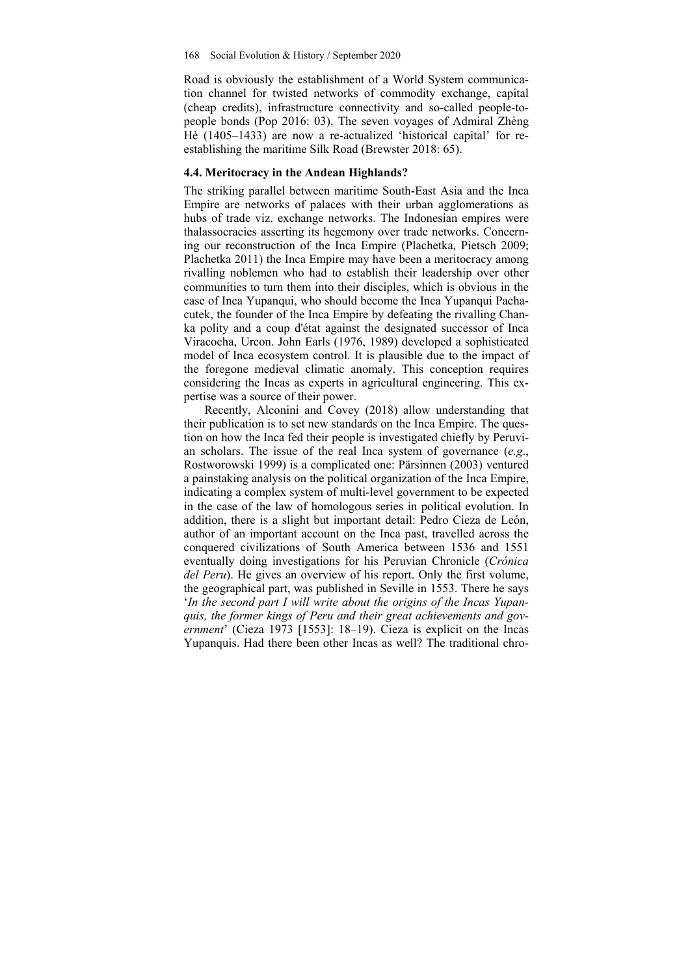Road is obviously the establishment of a World System communication channel for twisted networks of commodity exchange, capital (cheap credits), infrastructure connectivity and so-called people-topeople bonds (Pop 2016: 03). The seven voyages of Admiral Zhèng Hè (1405–1433) are now a re-actualized 'historical capital' for reestablishing the maritime Silk Road (Brewster 2018: 65).

# **4.4. Meritocracy in the Andean Highlands?**

The striking parallel between maritime South-East Asia and the Inca Empire are networks of palaces with their urban agglomerations as hubs of trade viz. exchange networks. The Indonesian empires were thalassocracies asserting its hegemony over trade networks. Concerning our reconstruction of the Inca Empire (Plachetka, Pietsch 2009; Plachetka 2011) the Inca Empire may have been a meritocracy among rivalling noblemen who had to establish their leadership over other communities to turn them into their disciples, which is obvious in the case of Inca Yupanqui, who should become the Inca Yupanqui Pachacutek, the founder of the Inca Empire by defeating the rivalling Chanka polity and a coup d'état against the designated successor of Inca Viracocha, Urcon. John Earls (1976, 1989) developed a sophisticated model of Inca ecosystem control. It is plausible due to the impact of the foregone medieval climatic anomaly. This conception requires considering the Incas as experts in agricultural engineering. This expertise was a source of their power.

Recently, Alconini and Covey (2018) allow understanding that their publication is to set new standards on the Inca Empire. The question on how the Inca fed their people is investigated chiefly by Peruvian scholars. The issue of the real Inca system of governance (*e.g*., Rostworowski 1999) is a complicated one: Pärsinnen (2003) ventured a painstaking analysis on the political organization of the Inca Empire, indicating a complex system of multi-level government to be expected in the case of the law of homologous series in political evolution. In addition, there is a slight but important detail: Pedro Cieza de León, author of an important account on the Inca past, travelled across the conquered civilizations of South America between 1536 and 1551 eventually doing investigations for his Peruvian Chronicle (*Crónica del Peru*). He gives an overview of his report. Only the first volume, the geographical part, was published in Seville in 1553. There he says '*In the second part I will write about the origins of the Incas Yupanquis, the former kings of Peru and their great achievements and government*' (Cieza 1973 [1553]: 18–19). Cieza is explicit on the Incas Yupanquis. Had there been other Incas as well? The traditional chro-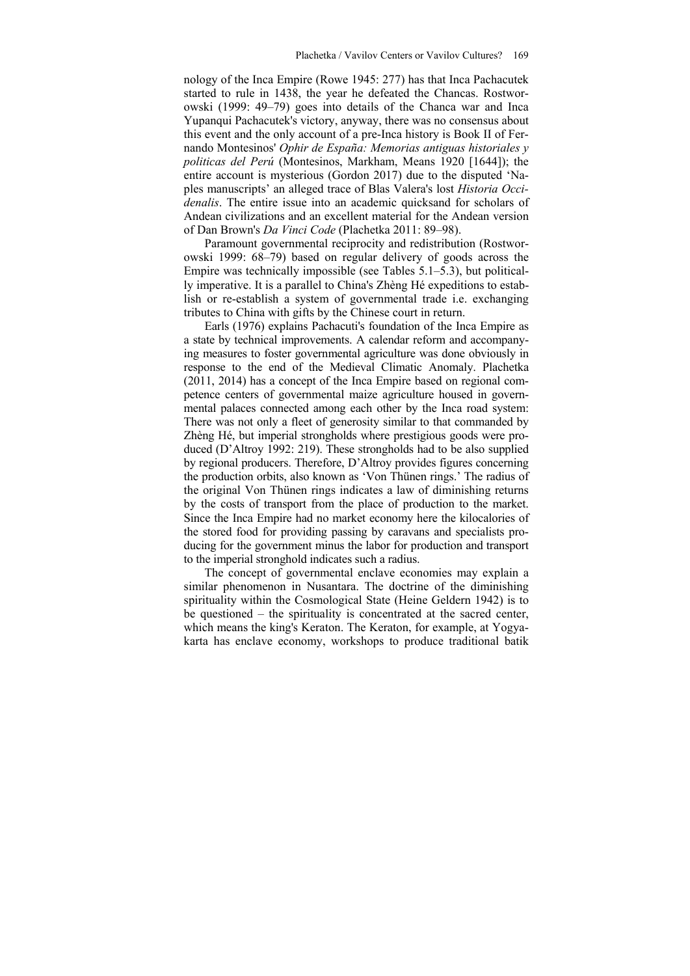nology of the Inca Empire (Rowe 1945: 277) has that Inca Pachacutek started to rule in 1438, the year he defeated the Chancas. Rostworowski (1999: 49–79) goes into details of the Chanca war and Inca Yupanqui Pachacutek's victory, anyway, there was no consensus about this event and the only account of a pre-Inca history is Book II of Fernando Montesinos' *Ophir de España: Memorias antiguas historiales y politicas del Perú* (Montesinos, Markham, Means 1920 [1644]); the entire account is mysterious (Gordon 2017) due to the disputed 'Naples manuscripts' an alleged trace of Blas Valera's lost *Historia Occidenalis*. The entire issue into an academic quicksand for scholars of Andean civilizations and an excellent material for the Andean version of Dan Brown's *Da Vinci Code* (Plachetka 2011: 89–98).

Paramount governmental reciprocity and redistribution (Rostworowski 1999: 68–79) based on regular delivery of goods across the Empire was technically impossible (see Tables 5.1–5.3), but politically imperative. It is a parallel to China's Zhèng Hé expeditions to establish or re-establish a system of governmental trade i.e. exchanging tributes to China with gifts by the Chinese court in return.

Earls (1976) explains Pachacuti's foundation of the Inca Empire as a state by technical improvements. A calendar reform and accompanying measures to foster governmental agriculture was done obviously in response to the end of the Medieval Climatic Anomaly. Plachetka (2011, 2014) has a concept of the Inca Empire based on regional competence centers of governmental maize agriculture housed in governmental palaces connected among each other by the Inca road system: There was not only a fleet of generosity similar to that commanded by Zhèng Hé, but imperial strongholds where prestigious goods were produced (D'Altroy 1992: 219). These strongholds had to be also supplied by regional producers. Therefore, D'Altroy provides figures concerning the production orbits, also known as 'Von Thünen rings.' The radius of the original Von Thünen rings indicates a law of diminishing returns by the costs of transport from the place of production to the market. Since the Inca Empire had no market economy here the kilocalories of the stored food for providing passing by caravans and specialists producing for the government minus the labor for production and transport to the imperial stronghold indicates such a radius.

The concept of governmental enclave economies may explain a similar phenomenon in Nusantara. The doctrine of the diminishing spirituality within the Cosmological State (Heine Geldern 1942) is to be questioned – the spirituality is concentrated at the sacred center, which means the king's Keraton. The Keraton, for example, at Yogyakarta has enclave economy, workshops to produce traditional batik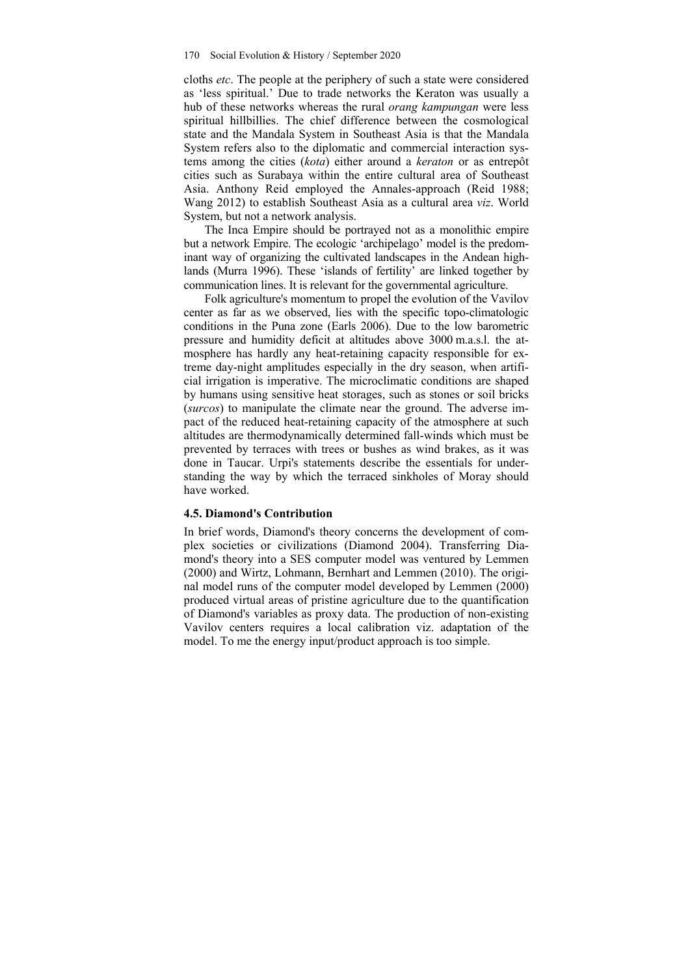cloths *etc*. The people at the periphery of such a state were considered as 'less spiritual.' Due to trade networks the Keraton was usually a hub of these networks whereas the rural *orang kampungan* were less spiritual hillbillies. The chief difference between the cosmological state and the Mandala System in Southeast Asia is that the Mandala System refers also to the diplomatic and commercial interaction systems among the cities (*kota*) either around a *keraton* or as entrepôt cities such as Surabaya within the entire cultural area of Southeast Asia. Anthony Reid employed the Annales-approach (Reid 1988; Wang 2012) to establish Southeast Asia as a cultural area *viz*. World System, but not a network analysis.

The Inca Empire should be portrayed not as a monolithic empire but a network Empire. The ecologic 'archipelago' model is the predominant way of organizing the cultivated landscapes in the Andean highlands (Murra 1996). These 'islands of fertility' are linked together by communication lines. It is relevant for the governmental agriculture.

Folk agriculture's momentum to propel the evolution of the Vavilov center as far as we observed, lies with the specific topo-climatologic conditions in the Puna zone (Earls 2006). Due to the low barometric pressure and humidity deficit at altitudes above 3000 m.a.s.l. the atmosphere has hardly any heat-retaining capacity responsible for extreme day-night amplitudes especially in the dry season, when artificial irrigation is imperative. The microclimatic conditions are shaped by humans using sensitive heat storages, such as stones or soil bricks (*surcos*) to manipulate the climate near the ground. The adverse impact of the reduced heat-retaining capacity of the atmosphere at such altitudes are thermodynamically determined fall-winds which must be prevented by terraces with trees or bushes as wind brakes, as it was done in Taucar. Urpi's statements describe the essentials for understanding the way by which the terraced sinkholes of Moray should have worked.

#### **4.5. Diamond's Contribution**

In brief words, Diamond's theory concerns the development of complex societies or civilizations (Diamond 2004). Transferring Diamond's theory into a SES computer model was ventured by Lemmen (2000) and Wirtz, Lohmann, Bernhart and Lemmen (2010). The original model runs of the computer model developed by Lemmen (2000) produced virtual areas of pristine agriculture due to the quantification of Diamond's variables as proxy data. The production of non-existing Vavilov centers requires a local calibration viz. adaptation of the model. To me the energy input/product approach is too simple.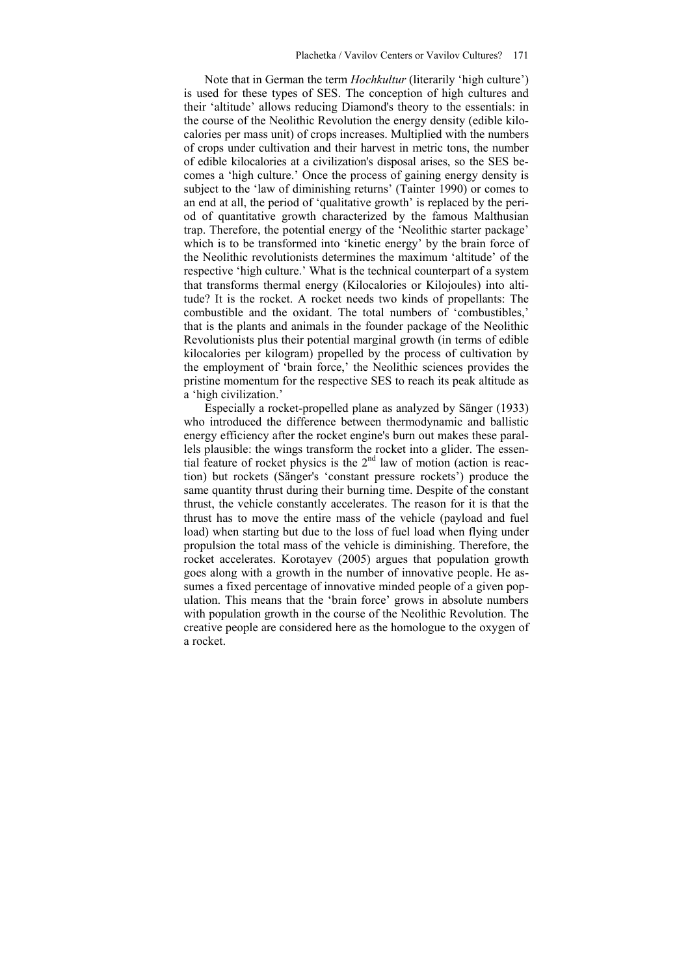Note that in German the term *Hochkultur* (literarily 'high culture') is used for these types of SES. The conception of high cultures and their 'altitude' allows reducing Diamond's theory to the essentials: in the course of the Neolithic Revolution the energy density (edible kilocalories per mass unit) of crops increases. Multiplied with the numbers of crops under cultivation and their harvest in metric tons, the number of edible kilocalories at a civilization's disposal arises, so the SES becomes a 'high culture.' Once the process of gaining energy density is subject to the 'law of diminishing returns' (Tainter 1990) or comes to an end at all, the period of 'qualitative growth' is replaced by the period of quantitative growth characterized by the famous Malthusian trap. Therefore, the potential energy of the 'Neolithic starter package' which is to be transformed into 'kinetic energy' by the brain force of the Neolithic revolutionists determines the maximum 'altitude' of the respective 'high culture.' What is the technical counterpart of a system that transforms thermal energy (Kilocalories or Kilojoules) into altitude? It is the rocket. A rocket needs two kinds of propellants: The combustible and the oxidant. The total numbers of 'combustibles,' that is the plants and animals in the founder package of the Neolithic Revolutionists plus their potential marginal growth (in terms of edible kilocalories per kilogram) propelled by the process of cultivation by the employment of 'brain force,' the Neolithic sciences provides the pristine momentum for the respective SES to reach its peak altitude as a 'high civilization.'

Especially a rocket-propelled plane as analyzed by Sänger (1933) who introduced the difference between thermodynamic and ballistic energy efficiency after the rocket engine's burn out makes these parallels plausible: the wings transform the rocket into a glider. The essential feature of rocket physics is the  $2<sup>nd</sup>$  law of motion (action is reaction) but rockets (Sänger's 'constant pressure rockets') produce the same quantity thrust during their burning time. Despite of the constant thrust, the vehicle constantly accelerates. The reason for it is that the thrust has to move the entire mass of the vehicle (payload and fuel load) when starting but due to the loss of fuel load when flying under propulsion the total mass of the vehicle is diminishing. Therefore, the rocket accelerates. Korotayev (2005) argues that population growth goes along with a growth in the number of innovative people. He assumes a fixed percentage of innovative minded people of a given population. This means that the 'brain force' grows in absolute numbers with population growth in the course of the Neolithic Revolution. The creative people are considered here as the homologue to the oxygen of a rocket.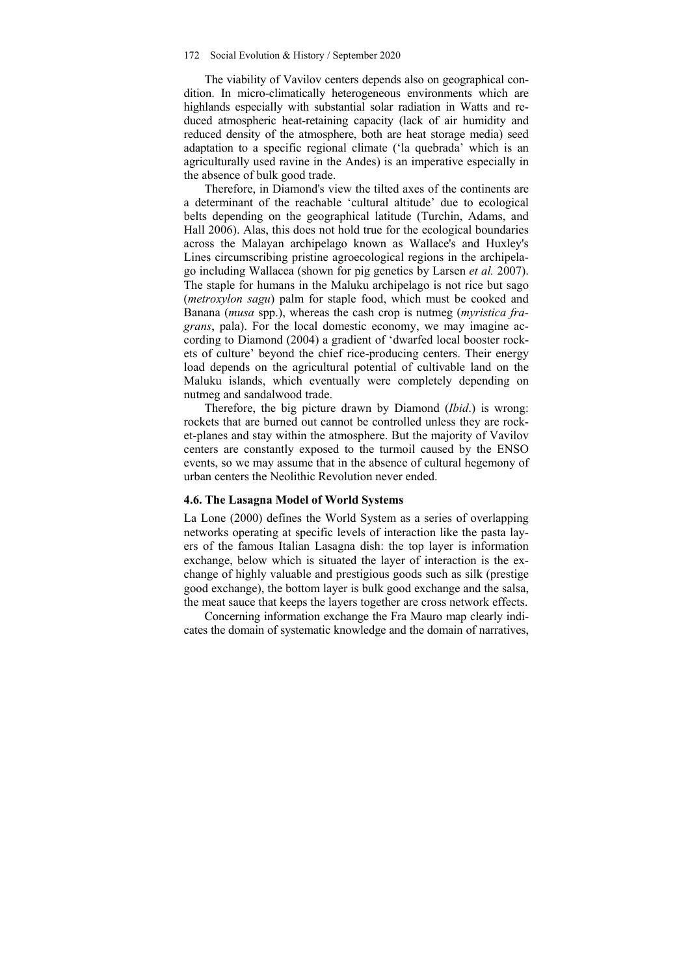#### 172 Social Evolution & History / September 2020

The viability of Vavilov centers depends also on geographical condition. In micro-climatically heterogeneous environments which are highlands especially with substantial solar radiation in Watts and reduced atmospheric heat-retaining capacity (lack of air humidity and reduced density of the atmosphere, both are heat storage media) seed adaptation to a specific regional climate ('la quebrada' which is an agriculturally used ravine in the Andes) is an imperative especially in the absence of bulk good trade.

Therefore, in Diamond's view the tilted axes of the continents are a determinant of the reachable 'cultural altitude' due to ecological belts depending on the geographical latitude (Turchin, Adams, and Hall 2006). Alas, this does not hold true for the ecological boundaries across the Malayan archipelago known as Wallace's and Huxley's Lines circumscribing pristine agroecological regions in the archipelago including Wallacea (shown for pig genetics by Larsen *et al.* 2007). The staple for humans in the Maluku archipelago is not rice but sago (*metroxylon sagu*) palm for staple food, which must be cooked and Banana (*musa* spp.), whereas the cash crop is nutmeg (*myristica fragrans*, pala). For the local domestic economy, we may imagine according to Diamond (2004) a gradient of 'dwarfed local booster rockets of culture' beyond the chief rice-producing centers. Their energy load depends on the agricultural potential of cultivable land on the Maluku islands, which eventually were completely depending on nutmeg and sandalwood trade.

Therefore, the big picture drawn by Diamond (*Ibid*.) is wrong: rockets that are burned out cannot be controlled unless they are rocket-planes and stay within the atmosphere. But the majority of Vavilov centers are constantly exposed to the turmoil caused by the ENSO events, so we may assume that in the absence of cultural hegemony of urban centers the Neolithic Revolution never ended.

#### **4.6. The Lasagna Model of World Systems**

La Lone (2000) defines the World System as a series of overlapping networks operating at specific levels of interaction like the pasta layers of the famous Italian Lasagna dish: the top layer is information exchange, below which is situated the layer of interaction is the exchange of highly valuable and prestigious goods such as silk (prestige good exchange), the bottom layer is bulk good exchange and the salsa, the meat sauce that keeps the layers together are cross network effects.

Concerning information exchange the Fra Mauro map clearly indicates the domain of systematic knowledge and the domain of narratives,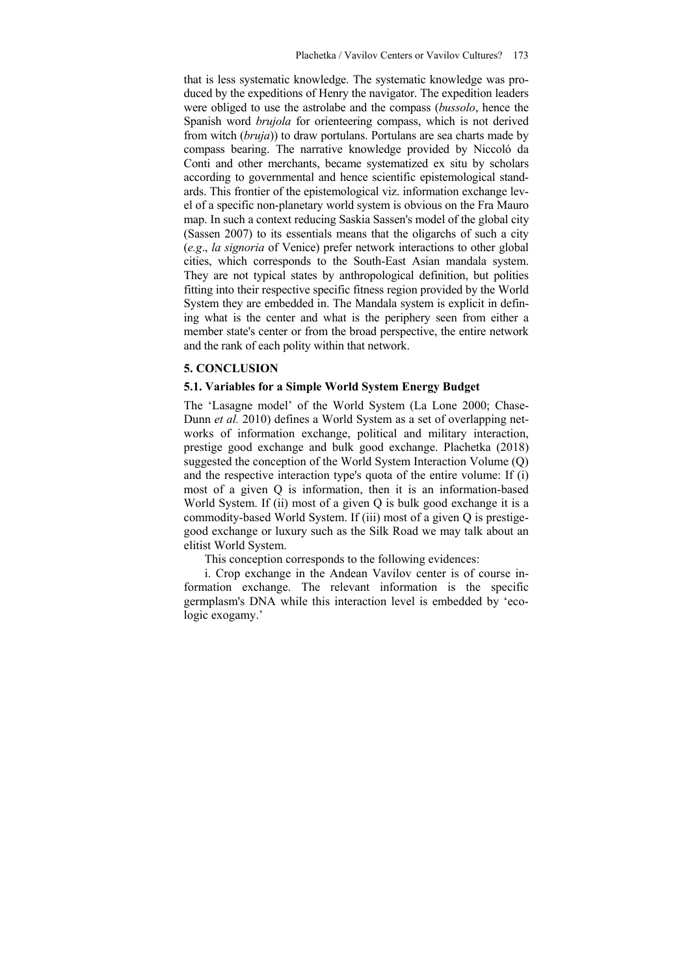that is less systematic knowledge. The systematic knowledge was produced by the expeditions of Henry the navigator. The expedition leaders were obliged to use the astrolabe and the compass (*bussolo*, hence the Spanish word *brujola* for orienteering compass, which is not derived from witch (*bruja*)) to draw portulans. Portulans are sea charts made by compass bearing. The narrative knowledge provided by Niccoló da Conti and other merchants, became systematized ex situ by scholars according to governmental and hence scientific epistemological standards. This frontier of the epistemological viz. information exchange level of a specific non-planetary world system is obvious on the Fra Mauro map. In such a context reducing Saskia Sassen's model of the global city (Sassen 2007) to its essentials means that the oligarchs of such a city (*e.g*., *la signoria* of Venice) prefer network interactions to other global cities, which corresponds to the South-East Asian mandala system. They are not typical states by anthropological definition, but polities fitting into their respective specific fitness region provided by the World System they are embedded in. The Mandala system is explicit in defining what is the center and what is the periphery seen from either a member state's center or from the broad perspective, the entire network and the rank of each polity within that network.

# **5. CONCLUSION**

## **5.1. Variables for a Simple World System Energy Budget**

The 'Lasagne model' of the World System (La Lone 2000; Chase-Dunn *et al.* 2010) defines a World System as a set of overlapping networks of information exchange, political and military interaction, prestige good exchange and bulk good exchange. Plachetka (2018) suggested the conception of the World System Interaction Volume (Q) and the respective interaction type's quota of the entire volume: If (i) most of a given Q is information, then it is an information-based World System. If (ii) most of a given O is bulk good exchange it is a commodity-based World System. If (iii) most of a given Q is prestigegood exchange or luxury such as the Silk Road we may talk about an elitist World System.

This conception corresponds to the following evidences:

i. Crop exchange in the Andean Vavilov center is of course information exchange. The relevant information is the specific germplasm's DNA while this interaction level is embedded by 'ecologic exogamy.'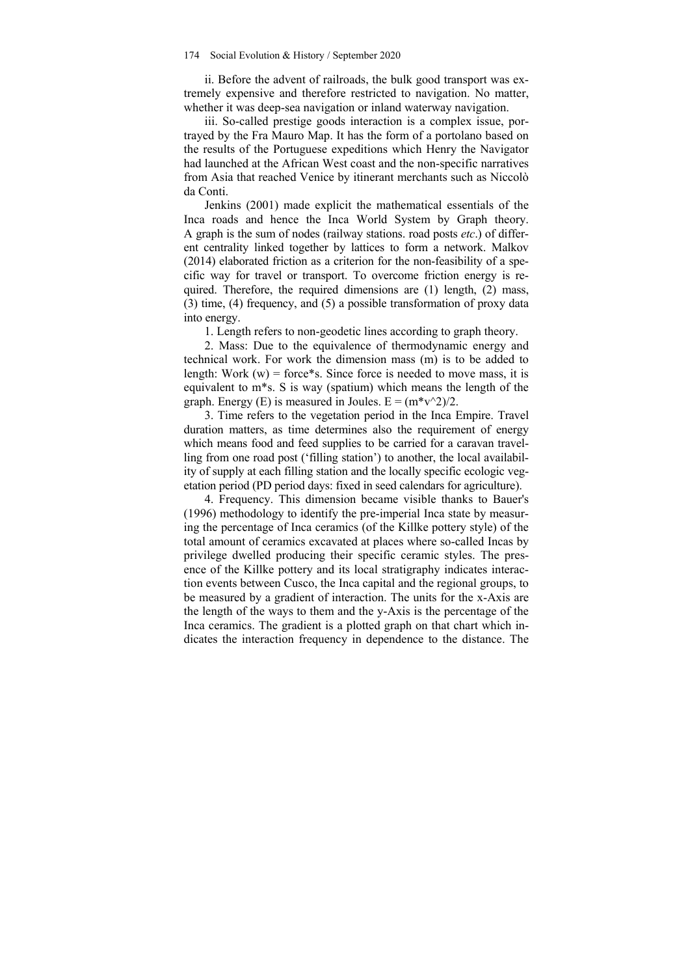ii. Before the advent of railroads, the bulk good transport was extremely expensive and therefore restricted to navigation. No matter, whether it was deep-sea navigation or inland waterway navigation.

iii. So-called prestige goods interaction is a complex issue, portrayed by the Fra Mauro Map. It has the form of a portolano based on the results of the Portuguese expeditions which Henry the Navigator had launched at the African West coast and the non-specific narratives from Asia that reached Venice by itinerant merchants such as Niccolò da Conti.

Jenkins (2001) made explicit the mathematical essentials of the Inca roads and hence the Inca World System by Graph theory. A graph is the sum of nodes (railway stations. road posts *etc*.) of different centrality linked together by lattices to form a network. Malkov (2014) elaborated friction as a criterion for the non-feasibility of a specific way for travel or transport. To overcome friction energy is required. Therefore, the required dimensions are (1) length, (2) mass, (3) time, (4) frequency, and (5) a possible transformation of proxy data into energy.

1. Length refers to non-geodetic lines according to graph theory.

2. Mass: Due to the equivalence of thermodynamic energy and technical work. For work the dimension mass (m) is to be added to length: Work  $(w)$  = force\*s. Since force is needed to move mass, it is equivalent to m\*s. S is way (spatium) which means the length of the graph. Energy (E) is measured in Joules.  $E = (m^*v^2)/2$ .

3. Time refers to the vegetation period in the Inca Empire. Travel duration matters, as time determines also the requirement of energy which means food and feed supplies to be carried for a caravan travelling from one road post ('filling station') to another, the local availability of supply at each filling station and the locally specific ecologic vegetation period (PD period days: fixed in seed calendars for agriculture).

4. Frequency. This dimension became visible thanks to Bauer's (1996) methodology to identify the pre-imperial Inca state by measuring the percentage of Inca ceramics (of the Killke pottery style) of the total amount of ceramics excavated at places where so-called Incas by privilege dwelled producing their specific ceramic styles. The presence of the Killke pottery and its local stratigraphy indicates interaction events between Cusco, the Inca capital and the regional groups, to be measured by a gradient of interaction. The units for the x-Axis are the length of the ways to them and the y-Axis is the percentage of the Inca ceramics. The gradient is a plotted graph on that chart which indicates the interaction frequency in dependence to the distance. The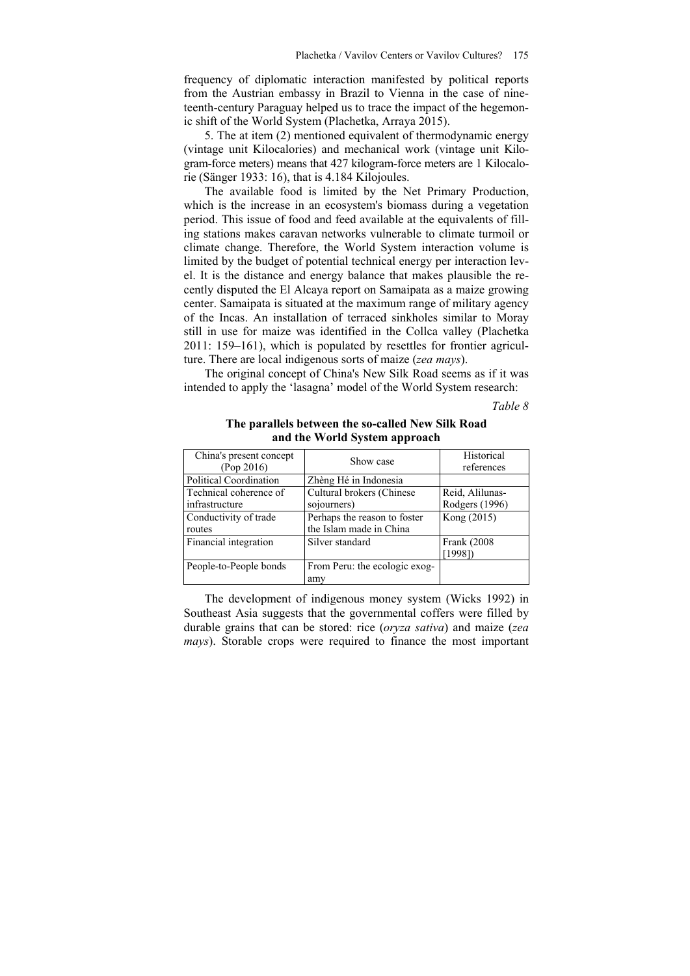frequency of diplomatic interaction manifested by political reports from the Austrian embassy in Brazil to Vienna in the case of nineteenth-century Paraguay helped us to trace the impact of the hegemonic shift of the World System (Plachetka, Arraya 2015).

5. The at item (2) mentioned equivalent of thermodynamic energy (vintage unit Kilocalories) and mechanical work (vintage unit Kilogram-force meters) means that 427 kilogram-force meters are 1 Kilocalorie (Sänger 1933: 16), that is 4.184 Kilojoules.

The available food is limited by the Net Primary Production, which is the increase in an ecosystem's biomass during a vegetation period. This issue of food and feed available at the equivalents of filling stations makes caravan networks vulnerable to climate turmoil or climate change. Therefore, the World System interaction volume is limited by the budget of potential technical energy per interaction level. It is the distance and energy balance that makes plausible the recently disputed the El Alcaya report on Samaipata as a maize growing center. Samaipata is situated at the maximum range of military agency of the Incas. An installation of terraced sinkholes similar to Moray still in use for maize was identified in the Collca valley (Plachetka 2011: 159–161), which is populated by resettles for frontier agriculture. There are local indigenous sorts of maize (*zea mays*).

The original concept of China's New Silk Road seems as if it was intended to apply the 'lasagna' model of the World System research:

*Table 8* 

## **The parallels between the so-called New Silk Road and the World System approach**

| China's present concept | Show case                     | Historical      |
|-------------------------|-------------------------------|-----------------|
| (Pop 2016)              |                               | references      |
| Political Coordination  | Zhèng Hé in Indonesia         |                 |
| Technical coherence of  | Cultural brokers (Chinese     | Reid, Alilunas- |
| infrastructure          | sojourners)                   | Rodgers (1996)  |
| Conductivity of trade   | Perhaps the reason to foster  | Kong (2015)     |
| routes                  | the Islam made in China       |                 |
| Financial integration   | Silver standard               | Frank (2008)    |
|                         |                               | [1998]          |
| People-to-People bonds  | From Peru: the ecologic exog- |                 |
|                         | amv                           |                 |

The development of indigenous money system (Wicks 1992) in Southeast Asia suggests that the governmental coffers were filled by durable grains that can be stored: rice (*oryza sativa*) and maize (*zea mays*). Storable crops were required to finance the most important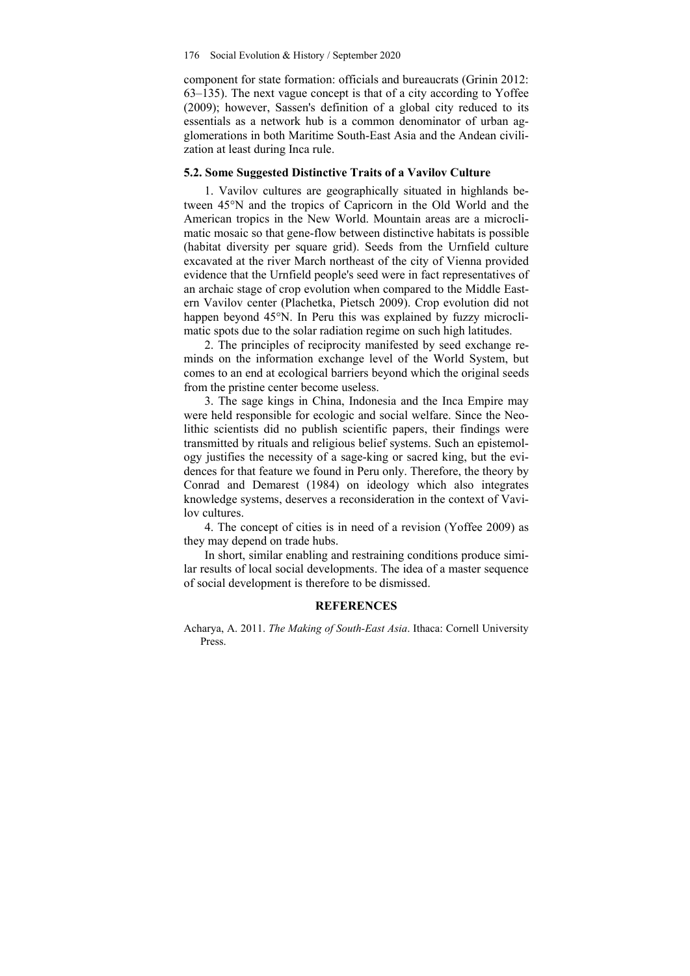#### 176 Social Evolution & History / September 2020

component for state formation: officials and bureaucrats (Grinin 2012: 63–135). The next vague concept is that of a city according to Yoffee (2009); however, Sassen's definition of a global city reduced to its essentials as a network hub is a common denominator of urban agglomerations in both Maritime South-East Asia and the Andean civilization at least during Inca rule.

### **5.2. Some Suggested Distinctive Traits of a Vavilov Culture**

1. Vavilov cultures are geographically situated in highlands between 45°N and the tropics of Capricorn in the Old World and the American tropics in the New World. Mountain areas are a microclimatic mosaic so that gene-flow between distinctive habitats is possible (habitat diversity per square grid). Seeds from the Urnfield culture excavated at the river March northeast of the city of Vienna provided evidence that the Urnfield people's seed were in fact representatives of an archaic stage of crop evolution when compared to the Middle Eastern Vavilov center (Plachetka, Pietsch 2009). Crop evolution did not happen beyond 45°N. In Peru this was explained by fuzzy microclimatic spots due to the solar radiation regime on such high latitudes.

2. The principles of reciprocity manifested by seed exchange reminds on the information exchange level of the World System, but comes to an end at ecological barriers beyond which the original seeds from the pristine center become useless.

3. The sage kings in China, Indonesia and the Inca Empire may were held responsible for ecologic and social welfare. Since the Neolithic scientists did no publish scientific papers, their findings were transmitted by rituals and religious belief systems. Such an epistemology justifies the necessity of a sage-king or sacred king, but the evidences for that feature we found in Peru only. Therefore, the theory by Conrad and Demarest (1984) on ideology which also integrates knowledge systems, deserves a reconsideration in the context of Vavilov cultures.

4. The concept of cities is in need of a revision (Yoffee 2009) as they may depend on trade hubs.

In short, similar enabling and restraining conditions produce similar results of local social developments. The idea of a master sequence of social development is therefore to be dismissed.

#### **REFERENCES**

Acharya, A. 2011. *The Making of South-East Asia*. Ithaca: Cornell University Press.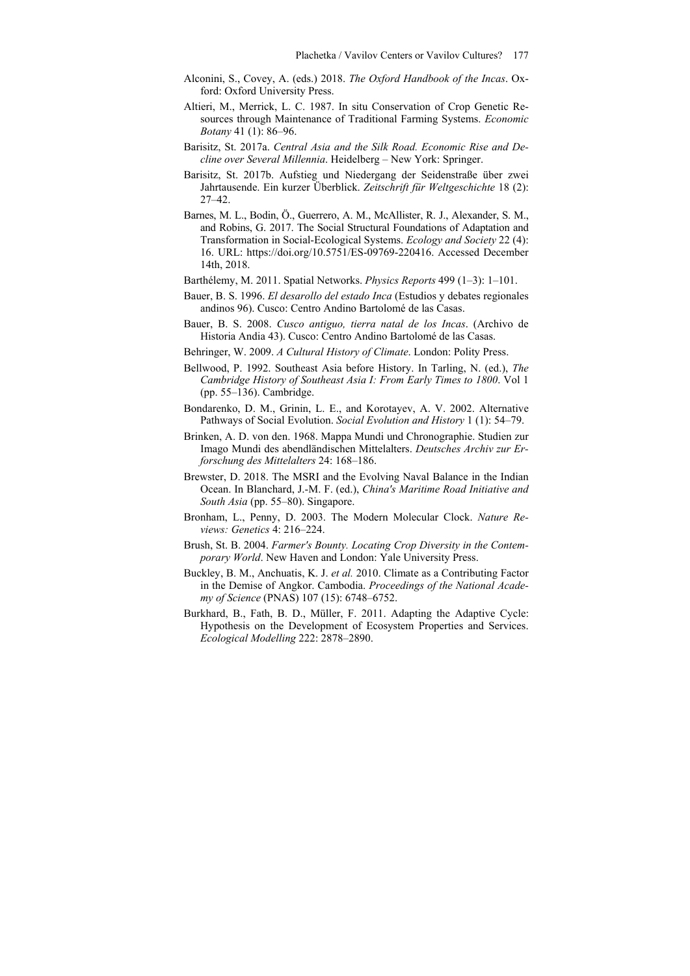- Alconini, S., Covey, A. (eds.) 2018. *The Oxford Handbook of the Incas*. Oxford: Oxford University Press.
- Altieri, M., Merrick, L. C. 1987. In situ Conservation of Crop Genetic Resources through Maintenance of Traditional Farming Systems. *Economic Botany* 41 (1): 86–96.
- Barisitz, St. 2017a. *Central Asia and the Silk Road. Economic Rise and Decline over Several Millennia*. Heidelberg – New York: Springer.
- Barisitz, St. 2017b. Aufstieg und Niedergang der Seidenstraße über zwei Jahrtausende. Ein kurzer Überblick. *Zeitschrift für Weltgeschichte* 18 (2): 27–42.
- Barnes, M. L., Bodin, Ö., Guerrero, A. M., McAllister, R. J., Alexander, S. M., and Robins, G. 2017. The Social Structural Foundations of Adaptation and Transformation in Social-Ecological Systems. *Ecology and Society* 22 (4): 16. URL: https://doi.org/10.5751/ES-09769-220416. Accessed December 14th, 2018.
- Barthélemy, M. 2011. Spatial Networks. *Physics Reports* 499 (1–3): 1–101.
- Bauer, B. S. 1996. *El desarollo del estado Inca* (Estudios y debates regionales andinos 96). Cusco: Centro Andino Bartolomé de las Casas.
- Bauer, B. S. 2008. *Cusco antiguo, tierra natal de los Incas*. (Archivo de Historia Andia 43). Cusco: Centro Andino Bartolomé de las Casas.
- Behringer, W. 2009. *A Cultural History of Climate*. London: Polity Press.
- Bellwood, P. 1992. Southeast Asia before History. In Tarling, N. (ed.), *The Cambridge History of Southeast Asia I: From Early Times to 1800*. Vol 1 (pp. 55–136). Cambridge.
- Bondarenko, D. M., Grinin, L. E., and Korotayev, A. V. 2002. Alternative Pathways of Social Evolution. *Social Evolution and History* 1 (1): 54–79.
- Brinken, A. D. von den. 1968. Mappa Mundi und Chronographie. Studien zur Imago Mundi des abendländischen Mittelalters. *Deutsches Archiv zur Erforschung des Mittelalters* 24: 168–186.
- Brewster, D. 2018. The MSRI and the Evolving Naval Balance in the Indian Ocean. In Blanchard, J.-M. F. (ed.), *China's Maritime Road Initiative and South Asia* (pp. 55–80). Singapore.
- Bronham, L., Penny, D. 2003. The Modern Molecular Clock. *Nature Reviews: Genetics* 4: 216–224.
- Brush, St. B. 2004. *Farmer's Bounty. Locating Crop Diversity in the Contemporary World*. New Haven and London: Yale University Press.
- Buckley, B. M., Anchuatis, K. J. *et al.* 2010. Climate as a Contributing Factor in the Demise of Angkor. Cambodia. *Proceedings of the National Academy of Science* (PNAS) 107 (15): 6748–6752.
- Burkhard, B., Fath, B. D., Müller, F. 2011. Adapting the Adaptive Cycle: Hypothesis on the Development of Ecosystem Properties and Services. *Ecological Modelling* 222: 2878–2890.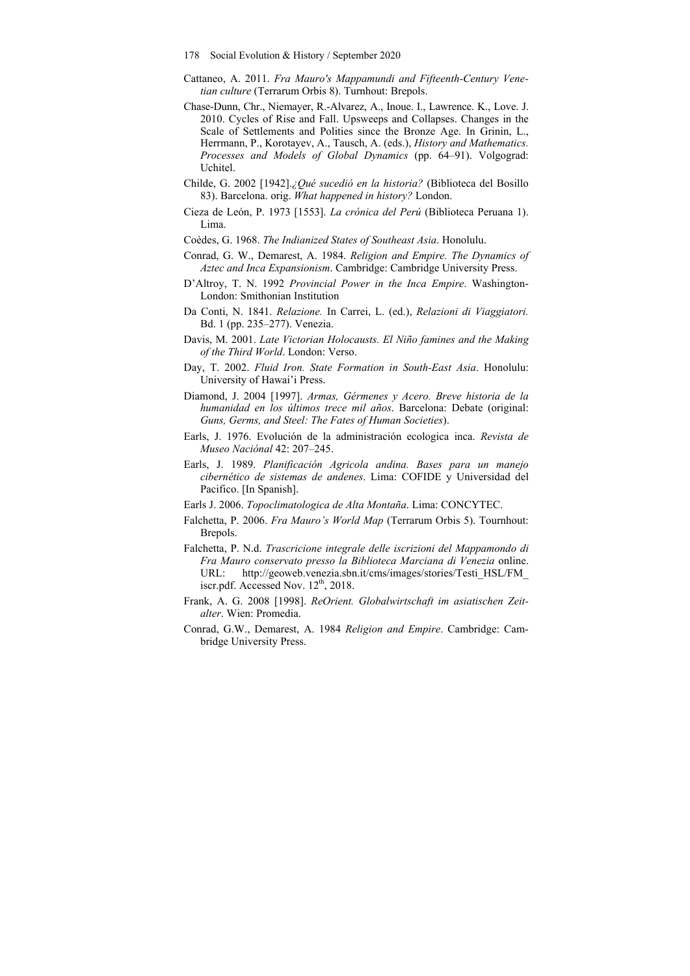178 Social Evolution & History / September 2020

- Cattaneo, A. 2011. *Fra Mauro's Mappamundi and Fifteenth-Century Venetian culture* (Terrarum Orbis 8). Turnhout: Brepols.
- Chase-Dunn, Chr., Niemayer, R.-Alvarez, A., Inoue. I., Lawrence. K., Love. J. 2010. Cycles of Rise and Fall. Upsweeps and Collapses. Changes in the Scale of Settlements and Polities since the Bronze Age. In Grinin, L., Herrmann, P., Korotayev, A., Tausch, A. (eds.), *History and Mathematics. Processes and Models of Global Dynamics* (pp. 64–91). Volgograd: Uchitel.
- Childe, G. 2002 [1942].*¿Qué sucedió en la historia?* (Biblioteca del Bosillo 83). Barcelona. orig. *What happened in history?* London.
- Cieza de León, P. 1973 [1553]. *La crónica del Perú* (Biblioteca Peruana 1). Lima.
- Coèdes, G. 1968. *The Indianized States of Southeast Asia*. Honolulu.
- Conrad, G. W., Demarest, A. 1984. *Religion and Empire. The Dynamics of Aztec and Inca Expansionism*. Cambridge: Cambridge University Press.
- D'Altroy, T. N. 1992 *Provincial Power in the Inca Empire*. Washington-London: Smithonian Institution
- Da Conti, N. 1841. *Relazione.* In Carrei, L. (ed.), *Relazioni di Viaggiatori.* Bd. 1 (pp. 235–277). Venezia.
- Davis, M. 2001. *Late Victorian Holocausts. El Niño famines and the Making of the Third World*. London: Verso.
- Day, T. 2002. *Fluid Iron. State Formation in South-East Asia*. Honolulu: University of Hawai'i Press.
- Diamond, J. 2004 [1997]. *Armas, Gérmenes y Acero. Breve historia de la humanidad en los últimos trece mil años*. Barcelona: Debate (original: *Guns, Germs, and Steel: The Fates of Human Societies*).
- Earls, J. 1976. Evolución de la administración ecologica inca. *Revista de Museo Naciónal* 42: 207–245.
- Earls, J. 1989. *Planificación Agricola andina. Bases para un manejo cibernético de sistemas de andenes*. Lima: COFIDE y Universidad del Pacifico. [In Spanish].
- Earls J. 2006. *Topoclimatologica de Alta Montaña*. Lima: CONCYTEC.
- Falchetta, P. 2006. *Fra Mauro's World Map* (Terrarum Orbis 5). Tournhout: Brepols.
- Falchetta, P. N.d. *Trascricione integrale delle iscrizioni del Mappamondo di Fra Mauro conservato presso la Biblioteca Marciana di Venezia* online. URL: http://geoweb.venezia.sbn.it/cms/images/stories/Testi\_HSL/FM\_ iscr.pdf. Accessed Nov.  $12^{\text{th}}$ , 2018.
- Frank, A. G. 2008 [1998]. *ReOrient. Globalwirtschaft im asiatischen Zeitalter*. Wien: Promedia.
- Conrad, G.W., Demarest, A. 1984 *Religion and Empire*. Cambridge: Cambridge University Press.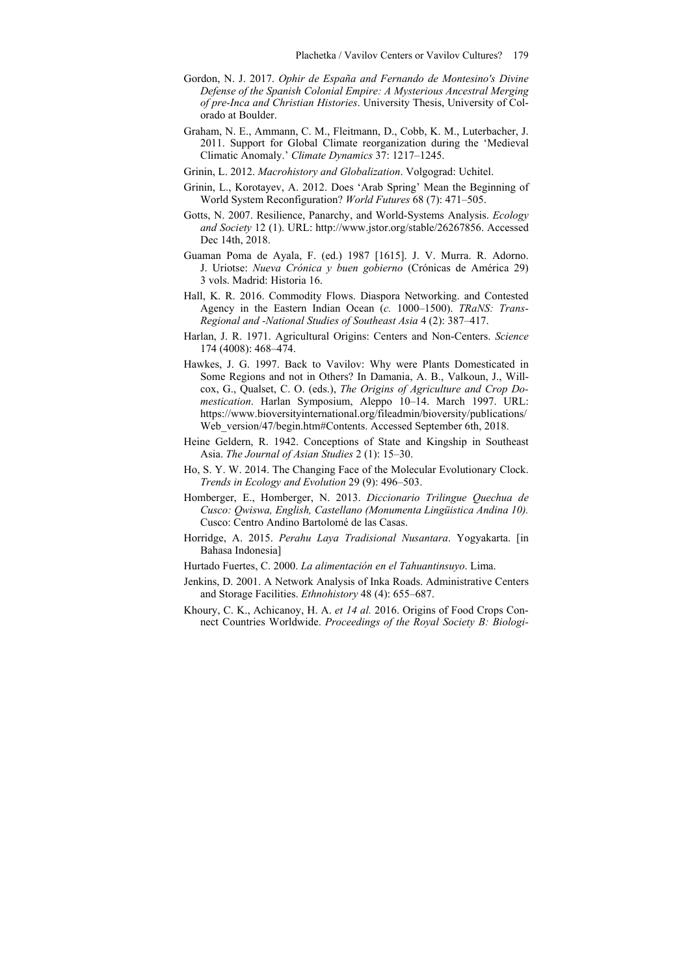- Gordon, N. J. 2017. *Ophir de España and Fernando de Montesino's Divine Defense of the Spanish Colonial Empire: A Mysterious Ancestral Merging of pre-Inca and Christian Histories*. University Thesis, University of Colorado at Boulder.
- Graham, N. E., Ammann, C. M., Fleitmann, D., Cobb, K. M., Luterbacher, J. 2011. Support for Global Climate reorganization during the 'Medieval Climatic Anomaly.' *Climate Dynamics* 37: 1217–1245.
- Grinin, L. 2012. *Macrohistory and Globalization*. Volgograd: Uchitel.
- Grinin, L., Korotayev, A. 2012. Does 'Arab Spring' Mean the Beginning of World System Reconfiguration? *World Futures* 68 (7): 471–505.
- Gotts, N. 2007. Resilience, Panarchy, and World-Systems Analysis. *Ecology and Society* 12 (1). URL: http://www.jstor.org/stable/26267856. Accessed Dec 14th, 2018.
- Guaman Poma de Ayala, F. (ed.) 1987 [1615]. J. V. Murra. R. Adorno. J. Uriotse: *Nueva Crónica y buen gobierno* (Crónicas de América 29) 3 vols. Madrid: Historia 16.
- Hall, K. R. 2016. Commodity Flows. Diaspora Networking. and Contested Agency in the Eastern Indian Ocean (*c.* 1000–1500). *TRaNS: Trans-Regional and -National Studies of Southeast Asia* 4 (2): 387–417.
- Harlan, J. R. 1971. Agricultural Origins: Centers and Non-Centers. *Science*  174 (4008): 468–474.
- Hawkes, J. G. 1997. Back to Vavilov: Why were Plants Domesticated in Some Regions and not in Others? In Damania, A. B., Valkoun, J., Willcox, G., Qualset, C. O. (eds.), *The Origins of Agriculture and Crop Domestication*. Harlan Symposium, Aleppo 10–14. March 1997. URL: https://www.bioversityinternational.org/fileadmin/bioversity/publications/ Web\_version/47/begin.htm#Contents. Accessed September 6th, 2018.
- Heine Geldern, R. 1942. Conceptions of State and Kingship in Southeast Asia. *The Journal of Asian Studies* 2 (1): 15–30.
- Ho, S. Y. W. 2014. The Changing Face of the Molecular Evolutionary Clock. *Trends in Ecology and Evolution* 29 (9): 496–503.
- Homberger, E., Homberger, N. 2013. *Diccionario Trilingue Quechua de Cusco: Qwiswa, English, Castellano (Monumenta Lingüistica Andina 10).* Cusco: Centro Andino Bartolomé de las Casas.
- Horridge, A. 2015. *Perahu Laya Tradisional Nusantara*. Yogyakarta. [in Bahasa Indonesia]
- Hurtado Fuertes, C. 2000. *La alimentación en el Tahuantinsuyo*. Lima.
- Jenkins, D. 2001. A Network Analysis of Inka Roads. Administrative Centers and Storage Facilities. *Ethnohistory* 48 (4): 655–687.
- Khoury, C. K., Achicanoy, H. A. *et 14 al.* 2016. Origins of Food Crops Connect Countries Worldwide. *Proceedings of the Royal Society B: Biologi-*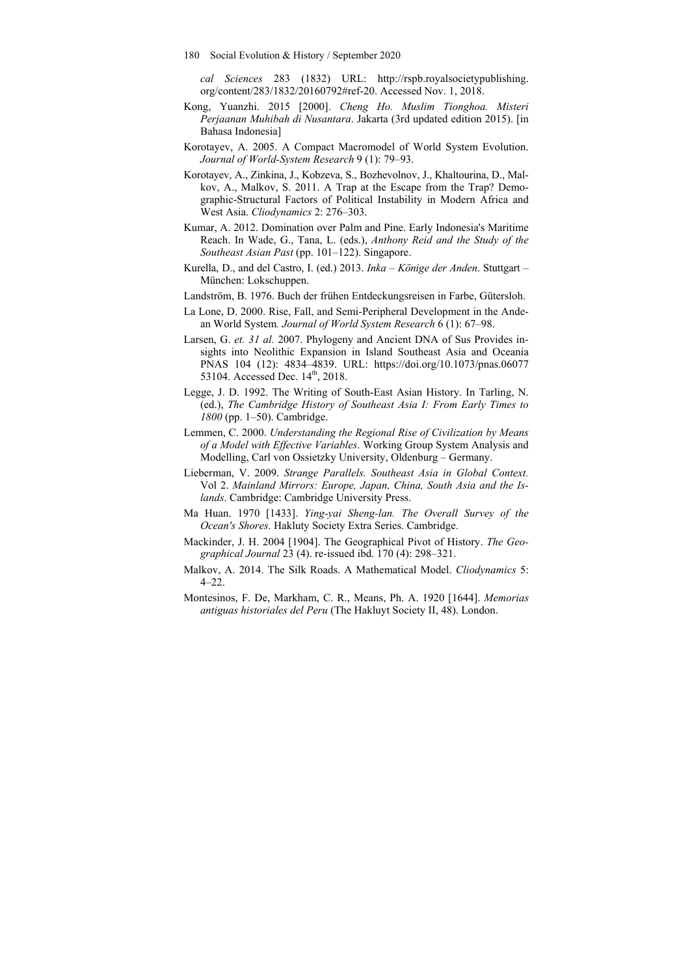- 180 Social Evolution & History / September 2020
	- *cal Sciences* 283 (1832) URL: http://rspb.royalsocietypublishing. org/content/283/1832/20160792#ref-20. Accessed Nov. 1, 2018.
- Kong, Yuanzhi. 2015 [2000]. *Cheng Ho. Muslim Tionghoa. Misteri Perjaanan Muhibah di Nusantara*. Jakarta (3rd updated edition 2015). [in Bahasa Indonesia]
- Korotayev, A. 2005. A Compact Macromodel of World System Evolution. *Journal of World-System Research* 9 (1): 79–93.
- Korotayev, A., Zinkina, J., Kobzeva, S., Bozhevolnov, J., Khaltourina, D., Malkov, A., Malkov, S. 2011. A Trap at the Escape from the Trap? Demographic-Structural Factors of Political Instability in Modern Africa and West Asia. *Cliodynamics* 2: 276–303.
- Kumar, A. 2012. Domination over Palm and Pine. Early Indonesia's Maritime Reach. In Wade, G., Tana, L. (eds.), *Anthony Reid and the Study of the Southeast Asian Past* (pp. 101–122). Singapore.
- Kurella, D., and del Castro, I. (ed.) 2013. *Inka Könige der Anden*. Stuttgart München: Lokschuppen.
- Landström, B. 1976. Buch der frühen Entdeckungsreisen in Farbe, Gütersloh.
- La Lone, D. 2000. Rise, Fall, and Semi-Peripheral Development in the Andean World System*. Journal of World System Research* 6 (1): 67–98.
- Larsen, G. *et. 31 al.* 2007. Phylogeny and Ancient DNA of Sus Provides insights into Neolithic Expansion in Island Southeast Asia and Oceania PNAS 104 (12): 4834–4839. URL: https://doi.org/10.1073/pnas.06077 53104. Accessed Dec. 14<sup>th</sup>, 2018.
- Legge, J. D. 1992. The Writing of South-East Asian History. In Tarling, N. (ed.), *The Cambridge History of Southeast Asia I: From Early Times to 1800* (pp. 1–50). Cambridge.
- Lemmen, C. 2000. *Understanding the Regional Rise of Civilization by Means of a Model with Effective Variables*. Working Group System Analysis and Modelling, Carl von Ossietzky University, Oldenburg – Germany.
- Lieberman, V. 2009. *Strange Parallels. Southeast Asia in Global Context.*  Vol 2. *Mainland Mirrors: Europe, Japan, China, South Asia and the Islands*. Cambridge: Cambridge University Press.
- Ma Huan. 1970 [1433]. *Ying-yai Sheng-lan. The Overall Survey of the Ocean's Shores*. Hakluty Society Extra Series. Cambridge.
- Mackinder, J. H. 2004 [1904]. The Geographical Pivot of History. *The Geographical Journal* 23 (4). re-issued ibd. 170 (4): 298–321.
- Malkov, A. 2014. The Silk Roads. A Mathematical Model. *Cliodynamics* 5: 4–22.
- Montesinos, F. De, Markham, C. R., Means, Ph. A. 1920 [1644]. *Memorias antiguas historiales del Peru* (The Hakluyt Society II, 48). London.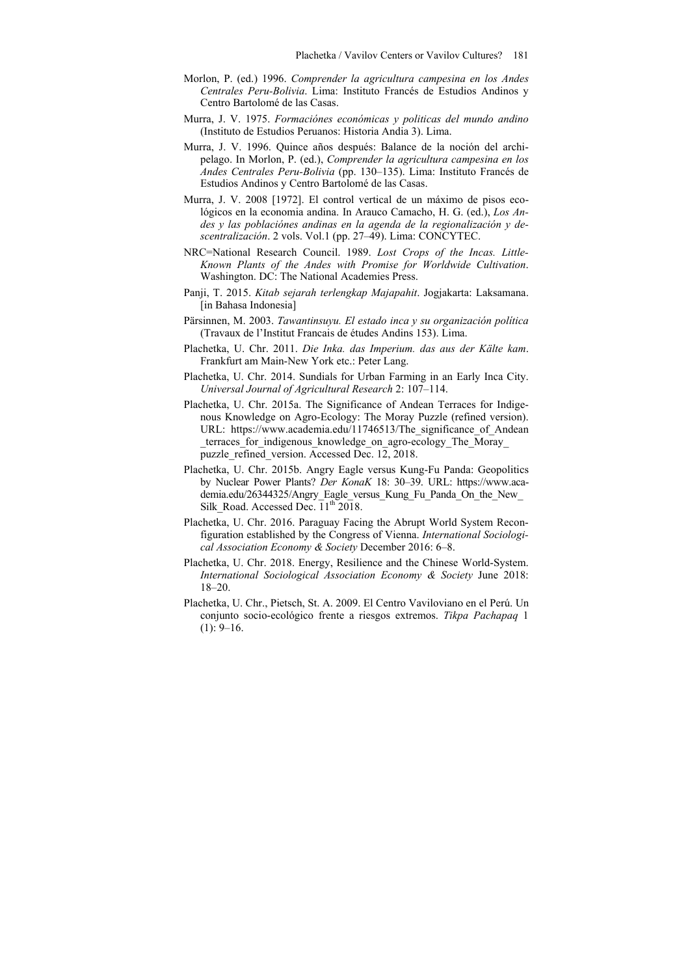- Morlon, P. (ed.) 1996. *Comprender la agricultura campesina en los Andes Centrales Peru-Bolivia*. Lima: Instituto Francés de Estudios Andinos y Centro Bartolomé de las Casas.
- Murra, J. V. 1975. *Formaciónes económicas y politicas del mundo andino* (Instituto de Estudios Peruanos: Historia Andia 3). Lima.
- Murra, J. V. 1996. Quince años después: Balance de la noción del archipelago. In Morlon, P. (ed.), *Comprender la agricultura campesina en los Andes Centrales Peru-Bolivia* (pp. 130–135). Lima: Instituto Francés de Estudios Andinos y Centro Bartolomé de las Casas.
- Murra, J. V. 2008 [1972]. El control vertical de un máximo de pisos ecológicos en la economia andina. In Arauco Camacho, H. G. (ed.), *Los Andes y las poblaciónes andinas en la agenda de la regionalización y descentralización*. 2 vols. Vol.1 (pp. 27–49). Lima: CONCYTEC.
- NRC=National Research Council. 1989. *Lost Crops of the Incas. Little-Known Plants of the Andes with Promise for Worldwide Cultivation*. Washington. DC: The National Academies Press.
- Panji, T. 2015. *Kitab sejarah terlengkap Majapahit*. Jogjakarta: Laksamana. [in Bahasa Indonesia]
- Pärsinnen, M. 2003. *Tawantinsuyu. El estado inca y su organización política* (Travaux de l'Institut Francais de études Andins 153). Lima.
- Plachetka, U. Chr. 2011. *Die Inka. das Imperium. das aus der Kälte kam*. Frankfurt am Main-New York etc.: Peter Lang.
- Plachetka, U. Chr. 2014. Sundials for Urban Farming in an Early Inca City. *Universal Journal of Agricultural Research* 2: 107–114.
- Plachetka, U. Chr. 2015a. The Significance of Andean Terraces for Indigenous Knowledge on Agro-Ecology: The Moray Puzzle (refined version). URL: https://www.academia.edu/11746513/The significance of Andean terraces for indigenous knowledge on agro-ecology The Moray puzzle refined version. Accessed Dec. 12, 2018.
- Plachetka, U. Chr. 2015b. Angry Eagle versus Kung-Fu Panda: Geopolitics by Nuclear Power Plants? *Der KonaK* 18: 30–39. URL: https://www.academia.edu/26344325/Angry\_Eagle\_versus\_Kung\_Fu\_Panda\_On\_the\_New\_ Silk Road. Accessed Dec.  $11^{th}$  2018.
- Plachetka, U. Chr. 2016. Paraguay Facing the Abrupt World System Reconfiguration established by the Congress of Vienna. *International Sociological Association Economy & Society* December 2016: 6–8.
- Plachetka, U. Chr. 2018. Energy, Resilience and the Chinese World-System. *International Sociological Association Economy & Society* June 2018: 18–20.
- Plachetka, U. Chr., Pietsch, St. A. 2009. El Centro Vaviloviano en el Perú. Un conjunto socio-ecológico frente a riesgos extremos. *Tikpa Pachapaq* 1  $(1)$ : 9–16.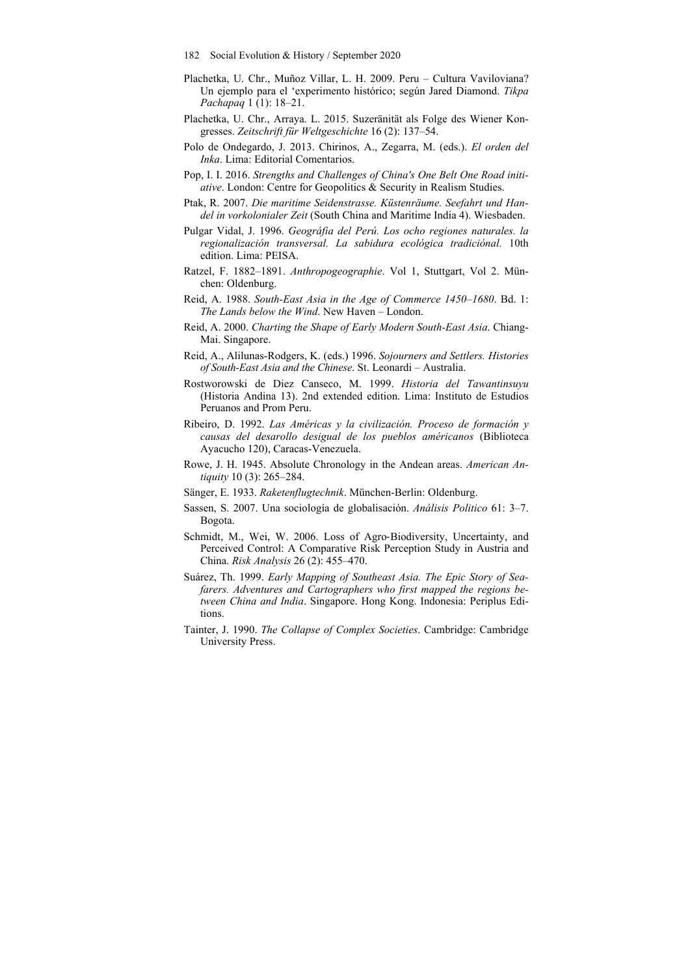- 182 Social Evolution & History / September 2020
- Plachetka, U. Chr., Muñoz Villar, L. H. 2009. Peru Cultura Vaviloviana? Un ejemplo para el 'experimento histórico; según Jared Diamond. *Tikpa Pachapaq* 1 (1): 18–21.
- Plachetka, U. Chr., Arraya. L. 2015. Suzeränität als Folge des Wiener Kongresses. *Zeitschrift für Weltgeschichte* 16 (2): 137–54.
- Polo de Ondegardo, J. 2013. Chirinos, A., Zegarra, M. (eds.). *El orden del Inka*. Lima: Editorial Comentarios.
- Pop, I. I. 2016. *Strengths and Challenges of China's One Belt One Road initiative*. London: Centre for Geopolitics & Security in Realism Studies.
- Ptak, R. 2007. *Die maritime Seidenstrasse. Küstenräume. Seefahrt und Handel in vorkolonialer Zeit* (South China and Maritime India 4). Wiesbaden.
- Pulgar Vidal, J. 1996. *Geográfia del Perú. Los ocho regiones naturales. la regionalización transversal. La sabidura ecológica tradiciónal.* 10th edition. Lima: PEISA.
- Ratzel, F. 1882–1891. *Anthropogeographie*. Vol 1, Stuttgart, Vol 2. München: Oldenburg.
- Reid, A. 1988. *South-East Asia in the Age of Commerce 1450–1680*. Bd. 1: *The Lands below the Wind*. New Haven – London.
- Reid, A. 2000. *Charting the Shape of Early Modern South-East Asia*. Chiang-Mai. Singapore.
- Reid, A., Alilunas-Rodgers, K. (eds.) 1996. *Sojourners and Settlers. Histories of South-East Asia and the Chinese*. St. Leonardi – Australia.
- Rostworowski de Diez Canseco, M. 1999. *Historia del Tawantinsuyu* (Historia Andina 13). 2nd extended edition. Lima: Instituto de Estudios Peruanos and Prom Peru.
- Ribeiro, D. 1992. *Las Américas y la civilización. Proceso de formación y causas del desarollo desigual de los pueblos américanos* (Biblioteca Ayacucho 120), Caracas-Venezuela.
- Rowe, J. H. 1945. Absolute Chronology in the Andean areas. *American Antiquity* 10 (3): 265–284.
- Sänger, E. 1933. *Raketenflugtechnik*. München-Berlin: Oldenburg.
- Sassen, S. 2007. Una sociología de globalisación. *Análisis Politico* 61: 3–7. Bogota.
- Schmidt, M., Wei, W. 2006. Loss of Agro‐Biodiversity, Uncertainty, and Perceived Control: A Comparative Risk Perception Study in Austria and China. *Risk Analysis* 26 (2): 455–470.
- Suárez, Th. 1999. *Early Mapping of Southeast Asia. The Epic Story of Seafarers. Adventures and Cartographers who first mapped the regions between China and India*. Singapore. Hong Kong. Indonesia: Periplus Editions.
- Tainter, J. 1990. *The Collapse of Complex Societies*. Cambridge: Cambridge University Press.